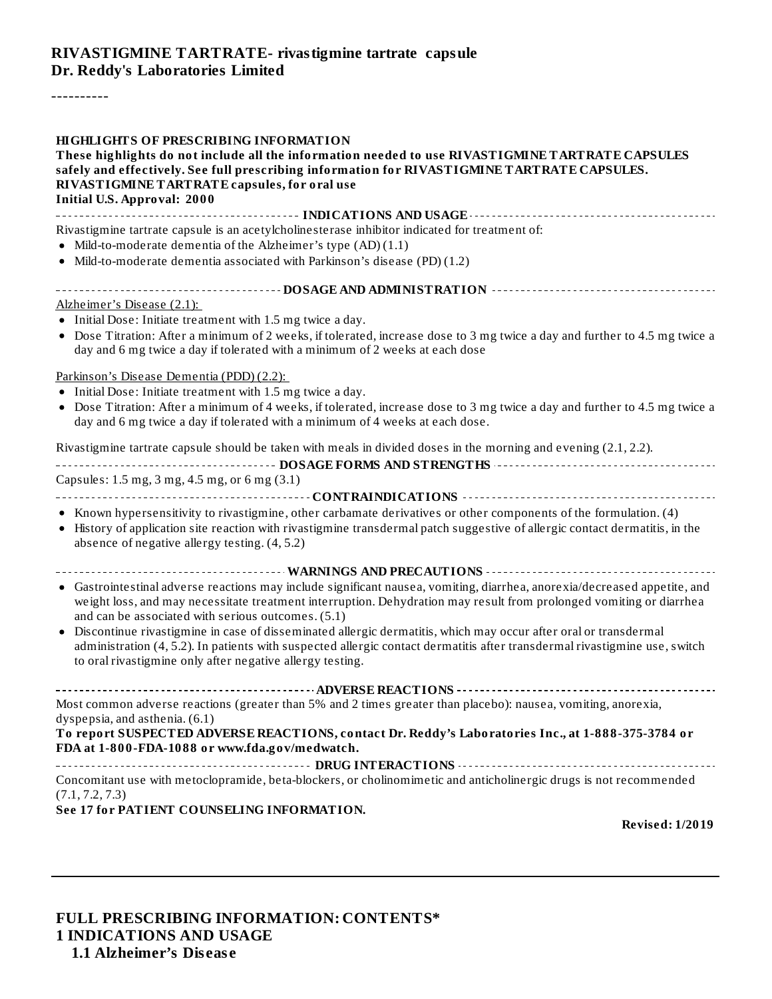#### **RIVASTIGMINE TARTRATE- rivastigmine tartrate capsule Dr. Reddy's Laboratories Limited**

----------

| <b>HIGHLIGHTS OF PRESCRIBING INFORMATION</b><br>These highlights do not include all the information needed to use RIVASTIGMINE TARTRATE CAPSULES<br>safely and effectively. See full prescribing information for RIVASTIGMINE TARTRATE CAPSULES.<br>RIVASTIGMINE TARTRATE capsules, for oral use<br><b>Initial U.S. Approval: 2000</b> |
|----------------------------------------------------------------------------------------------------------------------------------------------------------------------------------------------------------------------------------------------------------------------------------------------------------------------------------------|
| Rivastigmine tartrate capsule is an acetylcholinesterase inhibitor indicated for treatment of:<br>• Mild-to-moderate dementia of the Alzheimer's type $(AD)(1.1)$<br>• Mild-to-moderate dementia associated with Parkinson's disease (PD) (1.2)                                                                                        |
|                                                                                                                                                                                                                                                                                                                                        |
| Alzheimer's Disease (2.1):<br>• Initial Dose: Initiate treatment with 1.5 mg twice a day.<br>• Dose Titration: After a minimum of 2 weeks, if tolerated, increase dose to 3 mg twice a day and further to 4.5 mg twice a<br>day and 6 mg twice a day if tolerated with a minimum of 2 weeks at each dose                               |
| Parkinson's Disease Dementia (PDD) (2.2):<br>• Initial Dose: Initiate treatment with 1.5 mg twice a day.<br>• Dose Titration: After a minimum of 4 weeks, if tolerated, increase dose to 3 mg twice a day and further to 4.5 mg twice a<br>day and 6 mg twice a day if tolerated with a minimum of 4 weeks at each dose.               |
| Rivastigmine tartrate capsule should be taken with meals in divided doses in the morning and evening (2.1, 2.2).                                                                                                                                                                                                                       |
| Capsules: 1.5 mg, 3 mg, 4.5 mg, or 6 mg (3.1)                                                                                                                                                                                                                                                                                          |
| • Known hypersensitivity to rivastigmine, other carbamate derivatives or other components of the formulation. (4)<br>• History of application site reaction with rivastigmine transdermal patch suggestive of allergic contact dermatitis, in the<br>absence of negative allergy testing. (4, 5.2)                                     |
|                                                                                                                                                                                                                                                                                                                                        |
| • Gastrointestinal adverse reactions may include significant nausea, vomiting, diarrhea, anorexia/decreased appetite, and<br>weight loss, and may necessitate treatment interruption. Dehydration may result from prolonged vomiting or diarrhea<br>and can be associated with serious outcomes. (5.1)                                 |
| · Discontinue rivastigmine in case of disseminated allergic dermatitis, which may occur after oral or transdermal<br>administration (4, 5.2). In patients with suspected allergic contact dermatitis after transdermal rivastigmine use, switch<br>to oral rivastigmine only after negative allergy testing.                           |
|                                                                                                                                                                                                                                                                                                                                        |
| Most common adverse reactions (greater than 5% and 2 times greater than placebo): nausea, vomiting, anorexia,<br>dyspepsia, and asthenia. (6.1)<br>To report SUSPECTED ADVERSE REACTIONS, contact Dr. Reddy's Laboratories Inc., at 1-888-375-3784 or                                                                                  |
| FDA at 1-800-FDA-1088 or www.fda.gov/medwatch.                                                                                                                                                                                                                                                                                         |
| Concomitant use with metoclopramide, beta-blockers, or cholinomimetic and anticholinergic drugs is not recommended<br>(7.1, 7.2, 7.3)                                                                                                                                                                                                  |
| See 17 for PATIENT COUNSELING INFORMATION.<br><b>Revised: 1/2019</b>                                                                                                                                                                                                                                                                   |
|                                                                                                                                                                                                                                                                                                                                        |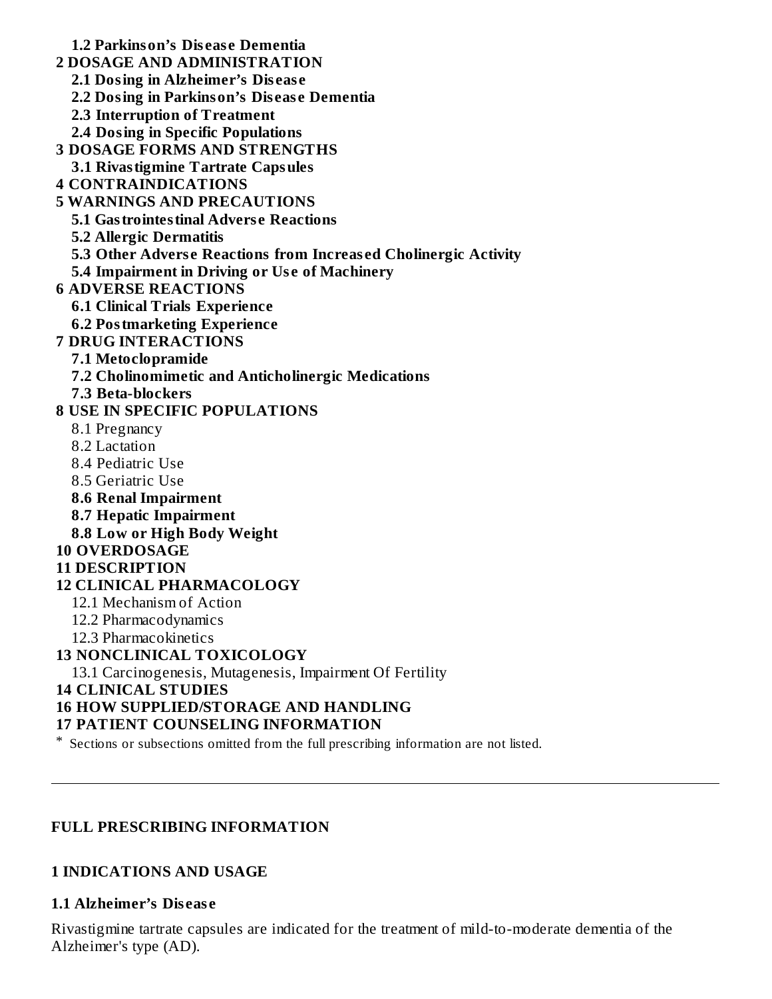**1.2 Parkinson's Dis eas e Dementia**

- **2 DOSAGE AND ADMINISTRATION**
	- **2.1 Dosing in Alzheimer's Dis eas e**
	- **2.2 Dosing in Parkinson's Dis eas e Dementia**
	- **2.3 Interruption of Treatment**
	- **2.4 Dosing in Specific Populations**
- **3 DOSAGE FORMS AND STRENGTHS**
- **3.1 Rivastigmine Tartrate Capsules**
- **4 CONTRAINDICATIONS**
- **5 WARNINGS AND PRECAUTIONS**
	- **5.1 Gastrointestinal Advers e Reactions**
	- **5.2 Allergic Dermatitis**
	- **5.3 Other Advers e Reactions from Increas ed Cholinergic Activity**
	- **5.4 Impairment in Driving or Us e of Machinery**
- **6 ADVERSE REACTIONS**
	- **6.1 Clinical Trials Experience**
	- **6.2 Postmarketing Experience**
- **7 DRUG INTERACTIONS**
	- **7.1 Metoclopramide**
	- **7.2 Cholinomimetic and Anticholinergic Medications**
	- **7.3 Beta-blockers**

### **8 USE IN SPECIFIC POPULATIONS**

- 8.1 Pregnancy
- 8.2 Lactation
- 8.4 Pediatric Use
- 8.5 Geriatric Use
- **8.6 Renal Impairment**
- **8.7 Hepatic Impairment**
- **8.8 Low or High Body Weight**

#### **10 OVERDOSAGE**

#### **11 DESCRIPTION**

#### **12 CLINICAL PHARMACOLOGY**

- 12.1 Mechanism of Action
- 12.2 Pharmacodynamics
- 12.3 Pharmacokinetics

#### **13 NONCLINICAL TOXICOLOGY**

13.1 Carcinogenesis, Mutagenesis, Impairment Of Fertility

#### **14 CLINICAL STUDIES**

# **16 HOW SUPPLIED/STORAGE AND HANDLING**

#### **17 PATIENT COUNSELING INFORMATION**

\* Sections or subsections omitted from the full prescribing information are not listed.

# **FULL PRESCRIBING INFORMATION**

#### **1 INDICATIONS AND USAGE**

#### **1.1 Alzheimer's Dis eas e**

Rivastigmine tartrate capsules are indicated for the treatment of mild-to-moderate dementia of the Alzheimer's type (AD).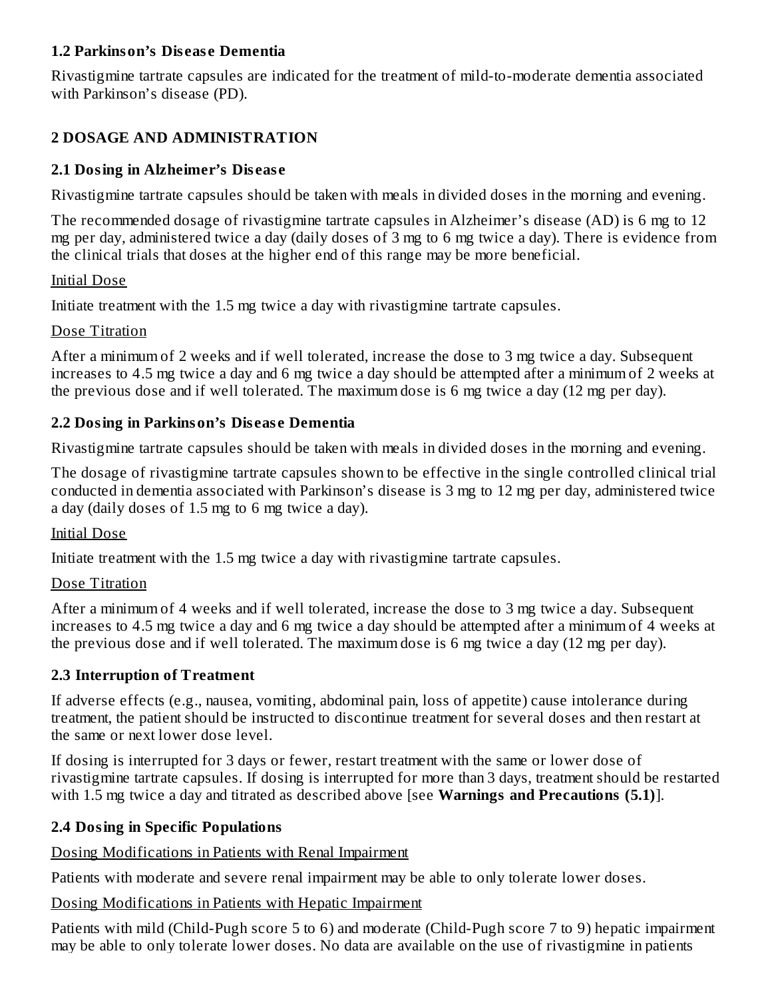#### **1.2 Parkinson's Dis eas e Dementia**

Rivastigmine tartrate capsules are indicated for the treatment of mild-to-moderate dementia associated with Parkinson's disease (PD).

# **2 DOSAGE AND ADMINISTRATION**

## **2.1 Dosing in Alzheimer's Dis eas e**

Rivastigmine tartrate capsules should be taken with meals in divided doses in the morning and evening.

The recommended dosage of rivastigmine tartrate capsules in Alzheimer's disease (AD) is 6 mg to 12 mg per day, administered twice a day (daily doses of 3 mg to 6 mg twice a day). There is evidence from the clinical trials that doses at the higher end of this range may be more beneficial.

#### Initial Dose

Initiate treatment with the 1.5 mg twice a day with rivastigmine tartrate capsules.

#### Dose Titration

After a minimum of 2 weeks and if well tolerated, increase the dose to 3 mg twice a day. Subsequent increases to 4.5 mg twice a day and 6 mg twice a day should be attempted after a minimum of 2 weeks at the previous dose and if well tolerated. The maximum dose is 6 mg twice a day (12 mg per day).

### **2.2 Dosing in Parkinson's Dis eas e Dementia**

Rivastigmine tartrate capsules should be taken with meals in divided doses in the morning and evening.

The dosage of rivastigmine tartrate capsules shown to be effective in the single controlled clinical trial conducted in dementia associated with Parkinson's disease is 3 mg to 12 mg per day, administered twice a day (daily doses of 1.5 mg to 6 mg twice a day).

#### Initial Dose

Initiate treatment with the 1.5 mg twice a day with rivastigmine tartrate capsules.

#### Dose Titration

After a minimum of 4 weeks and if well tolerated, increase the dose to 3 mg twice a day. Subsequent increases to 4.5 mg twice a day and 6 mg twice a day should be attempted after a minimum of 4 weeks at the previous dose and if well tolerated. The maximum dose is 6 mg twice a day (12 mg per day).

#### **2.3 Interruption of Treatment**

If adverse effects (e.g., nausea, vomiting, abdominal pain, loss of appetite) cause intolerance during treatment, the patient should be instructed to discontinue treatment for several doses and then restart at the same or next lower dose level.

If dosing is interrupted for 3 days or fewer, restart treatment with the same or lower dose of rivastigmine tartrate capsules. If dosing is interrupted for more than 3 days, treatment should be restarted with 1.5 mg twice a day and titrated as described above [see **Warnings and Precautions (5.1)**].

# **2.4 Dosing in Specific Populations**

Dosing Modifications in Patients with Renal Impairment

Patients with moderate and severe renal impairment may be able to only tolerate lower doses.

#### Dosing Modifications in Patients with Hepatic Impairment

Patients with mild (Child-Pugh score 5 to 6) and moderate (Child-Pugh score 7 to 9) hepatic impairment may be able to only tolerate lower doses. No data are available on the use of rivastigmine in patients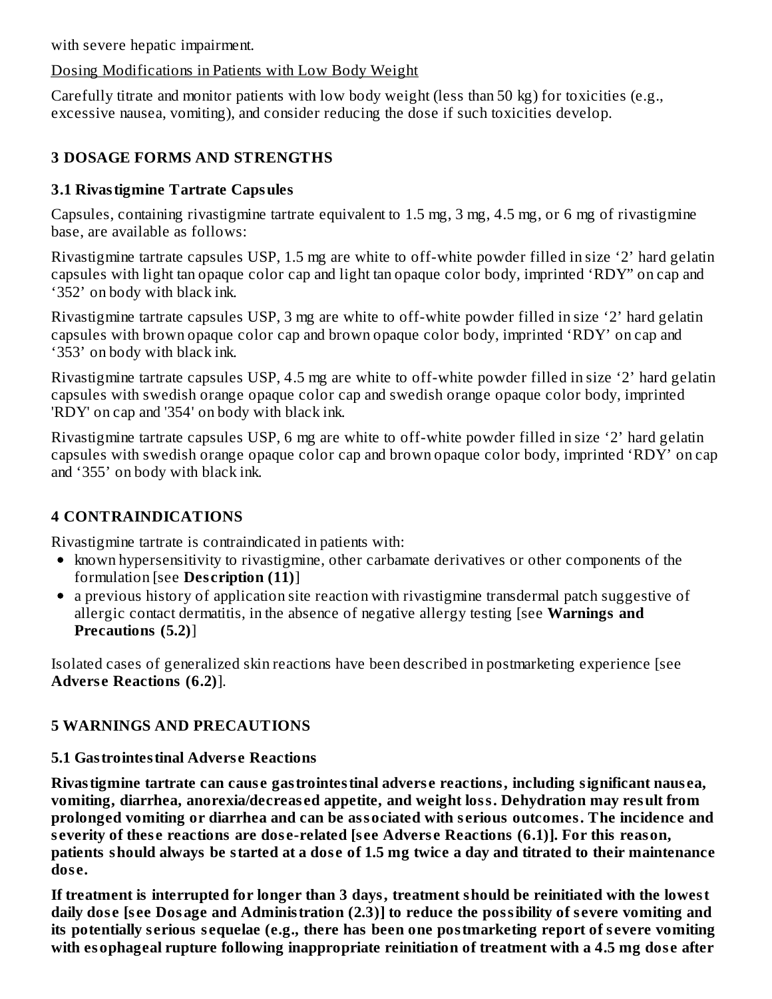with severe hepatic impairment.

## Dosing Modifications in Patients with Low Body Weight

Carefully titrate and monitor patients with low body weight (less than 50 kg) for toxicities (e.g., excessive nausea, vomiting), and consider reducing the dose if such toxicities develop.

# **3 DOSAGE FORMS AND STRENGTHS**

# **3.1 Rivastigmine Tartrate Capsules**

Capsules, containing rivastigmine tartrate equivalent to 1.5 mg, 3 mg, 4.5 mg, or 6 mg of rivastigmine base, are available as follows:

Rivastigmine tartrate capsules USP, 1.5 mg are white to off-white powder filled in size '2' hard gelatin capsules with light tan opaque color cap and light tan opaque color body, imprinted 'RDY" on cap and '352' on body with black ink.

Rivastigmine tartrate capsules USP, 3 mg are white to off-white powder filled in size '2' hard gelatin capsules with brown opaque color cap and brown opaque color body, imprinted 'RDY' on cap and '353' on body with black ink.

Rivastigmine tartrate capsules USP, 4.5 mg are white to off-white powder filled in size '2' hard gelatin capsules with swedish orange opaque color cap and swedish orange opaque color body, imprinted 'RDY' on cap and '354' on body with black ink.

Rivastigmine tartrate capsules USP, 6 mg are white to off-white powder filled in size '2' hard gelatin capsules with swedish orange opaque color cap and brown opaque color body, imprinted 'RDY' on cap and '355' on body with black ink.

# **4 CONTRAINDICATIONS**

Rivastigmine tartrate is contraindicated in patients with:

- known hypersensitivity to rivastigmine, other carbamate derivatives or other components of the formulation [see **Des cription (11)**]
- a previous history of application site reaction with rivastigmine transdermal patch suggestive of allergic contact dermatitis, in the absence of negative allergy testing [see **Warnings and Precautions (5.2)**]

Isolated cases of generalized skin reactions have been described in postmarketing experience [see **Advers e Reactions (6.2)**].

# **5 WARNINGS AND PRECAUTIONS**

# **5.1 Gastrointestinal Advers e Reactions**

**Rivastigmine tartrate can caus e gastrointestinal advers e reactions, including significant naus ea, vomiting, diarrhea, anorexia/decreas ed appetite, and weight loss. Dehydration may result from prolonged vomiting or diarrhea and can be associated with s erious outcomes. The incidence and s everity of thes e reactions are dos e-related [s ee Advers e Reactions (6.1)]. For this reason,** patients should always be started at a dose of 1.5 mg twice a day and titrated to their maintenance **dos e.**

**If treatment is interrupted for longer than 3 days, treatment should be reinitiated with the lowest** daily dose [see Dosage and Administration (2.3)] to reduce the possibility of severe vomiting and **its potentially s erious s equelae (e.g., there has been one postmarketing report of s evere vomiting with esophageal rupture following inappropriate reinitiation of treatment with a 4.5 mg dos e after**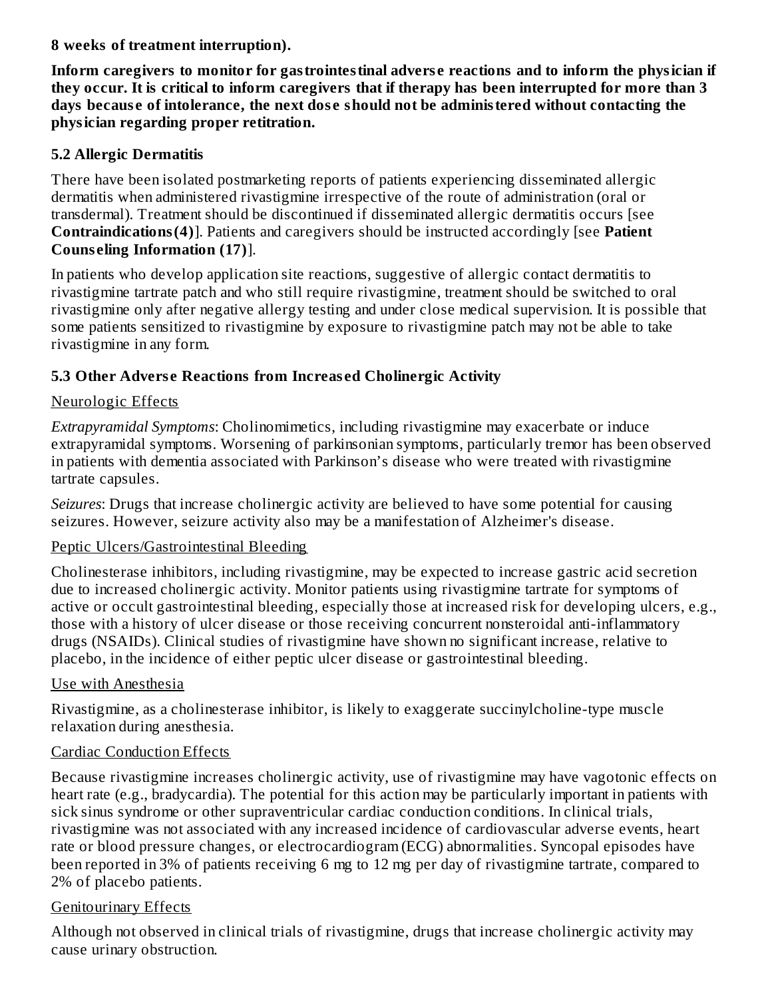**8 weeks of treatment interruption).**

**Inform caregivers to monitor for gastrointestinal advers e reactions and to inform the physician if** they occur. It is critical to inform caregivers that if therapy has been interrupted for more than 3 **days becaus e of intolerance, the next dos e should not be administered without contacting the physician regarding proper retitration.**

### **5.2 Allergic Dermatitis**

There have been isolated postmarketing reports of patients experiencing disseminated allergic dermatitis when administered rivastigmine irrespective of the route of administration (oral or transdermal). Treatment should be discontinued if disseminated allergic dermatitis occurs [see **Contraindications(4)**]. Patients and caregivers should be instructed accordingly [see **Patient Couns eling Information (17)**].

In patients who develop application site reactions, suggestive of allergic contact dermatitis to rivastigmine tartrate patch and who still require rivastigmine, treatment should be switched to oral rivastigmine only after negative allergy testing and under close medical supervision. It is possible that some patients sensitized to rivastigmine by exposure to rivastigmine patch may not be able to take rivastigmine in any form.

# **5.3 Other Advers e Reactions from Increas ed Cholinergic Activity**

### Neurologic Effects

*Extrapyramidal Symptoms*: Cholinomimetics, including rivastigmine may exacerbate or induce extrapyramidal symptoms. Worsening of parkinsonian symptoms, particularly tremor has been observed in patients with dementia associated with Parkinson's disease who were treated with rivastigmine tartrate capsules.

*Seizures*: Drugs that increase cholinergic activity are believed to have some potential for causing seizures. However, seizure activity also may be a manifestation of Alzheimer's disease.

#### Peptic Ulcers/Gastrointestinal Bleeding

Cholinesterase inhibitors, including rivastigmine, may be expected to increase gastric acid secretion due to increased cholinergic activity. Monitor patients using rivastigmine tartrate for symptoms of active or occult gastrointestinal bleeding, especially those at increased risk for developing ulcers, e.g., those with a history of ulcer disease or those receiving concurrent nonsteroidal anti-inflammatory drugs (NSAIDs). Clinical studies of rivastigmine have shown no significant increase, relative to placebo, in the incidence of either peptic ulcer disease or gastrointestinal bleeding.

# Use with Anesthesia

Rivastigmine, as a cholinesterase inhibitor, is likely to exaggerate succinylcholine-type muscle relaxation during anesthesia.

# Cardiac Conduction Effects

Because rivastigmine increases cholinergic activity, use of rivastigmine may have vagotonic effects on heart rate (e.g., bradycardia). The potential for this action may be particularly important in patients with sick sinus syndrome or other supraventricular cardiac conduction conditions. In clinical trials, rivastigmine was not associated with any increased incidence of cardiovascular adverse events, heart rate or blood pressure changes, or electrocardiogram (ECG) abnormalities. Syncopal episodes have been reported in 3% of patients receiving 6 mg to 12 mg per day of rivastigmine tartrate, compared to 2% of placebo patients.

# Genitourinary Effects

Although not observed in clinical trials of rivastigmine, drugs that increase cholinergic activity may cause urinary obstruction.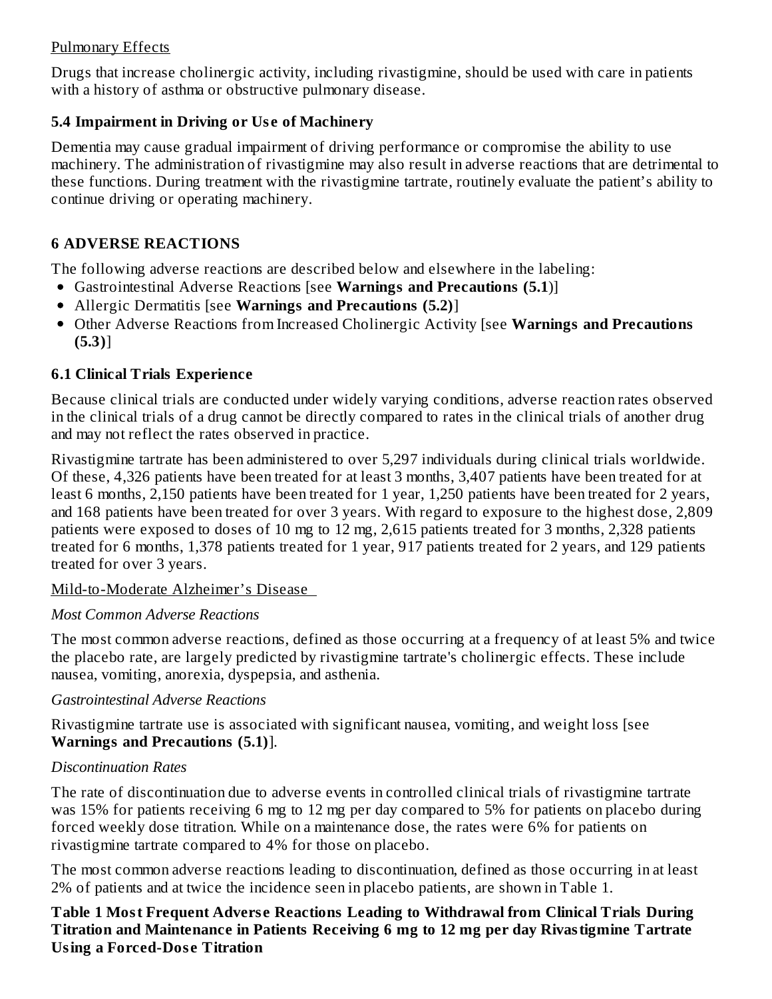#### Pulmonary Effects

Drugs that increase cholinergic activity, including rivastigmine, should be used with care in patients with a history of asthma or obstructive pulmonary disease.

# **5.4 Impairment in Driving or Us e of Machinery**

Dementia may cause gradual impairment of driving performance or compromise the ability to use machinery. The administration of rivastigmine may also result in adverse reactions that are detrimental to these functions. During treatment with the rivastigmine tartrate, routinely evaluate the patient's ability to continue driving or operating machinery.

# **6 ADVERSE REACTIONS**

The following adverse reactions are described below and elsewhere in the labeling:

- Gastrointestinal Adverse Reactions [see **Warnings and Precautions (5.1**)]
- Allergic Dermatitis [see **Warnings and Precautions (5.2)**]
- Other Adverse Reactions from Increased Cholinergic Activity [see **Warnings and Precautions (5.3)**]

# **6.1 Clinical Trials Experience**

Because clinical trials are conducted under widely varying conditions, adverse reaction rates observed in the clinical trials of a drug cannot be directly compared to rates in the clinical trials of another drug and may not reflect the rates observed in practice.

Rivastigmine tartrate has been administered to over 5,297 individuals during clinical trials worldwide. Of these, 4,326 patients have been treated for at least 3 months, 3,407 patients have been treated for at least 6 months, 2,150 patients have been treated for 1 year, 1,250 patients have been treated for 2 years, and 168 patients have been treated for over 3 years. With regard to exposure to the highest dose, 2,809 patients were exposed to doses of 10 mg to 12 mg, 2,615 patients treated for 3 months, 2,328 patients treated for 6 months, 1,378 patients treated for 1 year, 917 patients treated for 2 years, and 129 patients treated for over 3 years.

# Mild-to-Moderate Alzheimer's Disease

# *Most Common Adverse Reactions*

The most common adverse reactions, defined as those occurring at a frequency of at least 5% and twice the placebo rate, are largely predicted by rivastigmine tartrate's cholinergic effects. These include nausea, vomiting, anorexia, dyspepsia, and asthenia.

# *Gastrointestinal Adverse Reactions*

Rivastigmine tartrate use is associated with significant nausea, vomiting, and weight loss [see **Warnings and Precautions (5.1)**].

# *Discontinuation Rates*

The rate of discontinuation due to adverse events in controlled clinical trials of rivastigmine tartrate was 15% for patients receiving 6 mg to 12 mg per day compared to 5% for patients on placebo during forced weekly dose titration. While on a maintenance dose, the rates were 6% for patients on rivastigmine tartrate compared to 4% for those on placebo.

The most common adverse reactions leading to discontinuation, defined as those occurring in at least 2% of patients and at twice the incidence seen in placebo patients, are shown in Table 1.

**Table 1 Most Frequent Advers e Reactions Leading to Withdrawal from Clinical Trials During Titration and Maintenance in Patients Receiving 6 mg to 12 mg per day Rivastigmine Tartrate Using a Forced-Dos e Titration**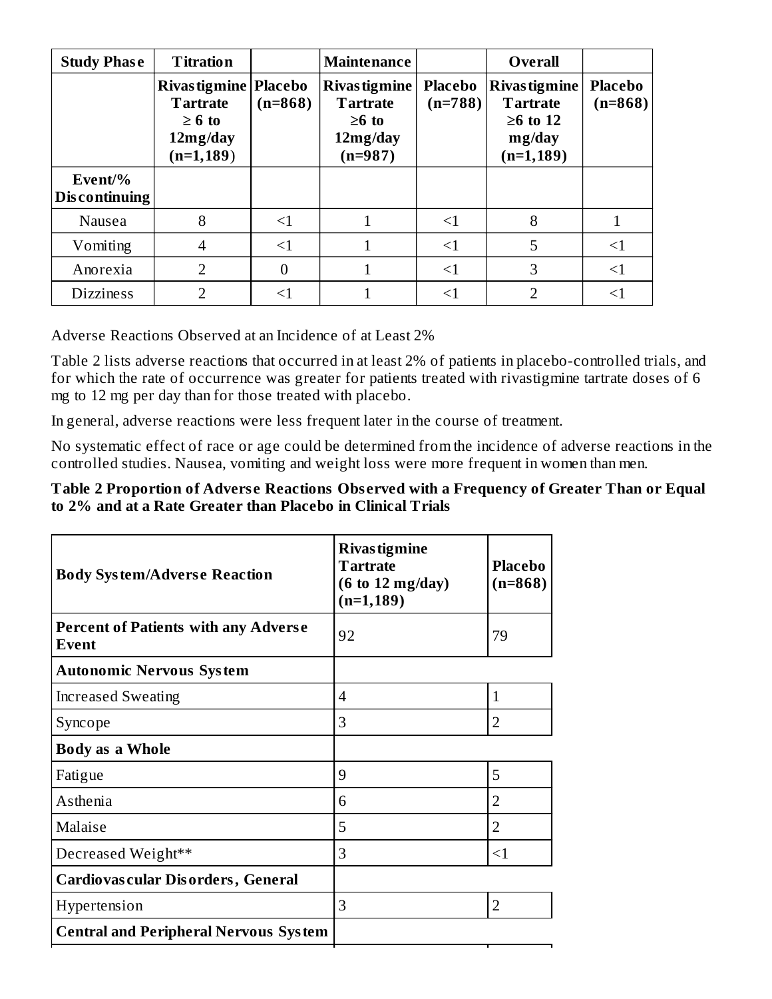| <b>Study Phase</b>       | <b>Titration</b>                                                                      |           | <b>Maintenance</b>                                                              |                             | <b>Overall</b>                                                                      |                             |
|--------------------------|---------------------------------------------------------------------------------------|-----------|---------------------------------------------------------------------------------|-----------------------------|-------------------------------------------------------------------------------------|-----------------------------|
|                          | Rivas tigmine   Placebo<br><b>Tartrate</b><br>$\geq 6$ to<br>12mg/day<br>$(n=1, 189)$ | $(n=868)$ | <b>Rivas tigmine</b><br><b>Tartrate</b><br>$\geq 6$ to<br>12mg/day<br>$(n=987)$ | <b>Placebo</b><br>$(n=788)$ | <b>Rivas tigmine</b><br><b>Tartrate</b><br>$\geq 6$ to 12<br>mg/day<br>$(n=1, 189)$ | <b>Placebo</b><br>$(n=868)$ |
| Event/%<br>Discontinuing |                                                                                       |           |                                                                                 |                             |                                                                                     |                             |
| Nausea                   | 8                                                                                     | $<$ 1     |                                                                                 | ${<}1$                      | 8                                                                                   |                             |
| Vomiting                 | $\overline{\mathcal{A}}$                                                              | $\leq$ 1  |                                                                                 | $<$ 1                       | 5                                                                                   | $\leq$ 1                    |
| Anorexia                 | $\overline{2}$                                                                        | $\theta$  |                                                                                 | $\leq$ 1                    | 3                                                                                   | $\leq$ 1                    |
| <b>Dizziness</b>         | ר                                                                                     |           |                                                                                 | $<$ 1                       | 2                                                                                   | <1                          |

Adverse Reactions Observed at an Incidence of at Least 2%

Table 2 lists adverse reactions that occurred in at least 2% of patients in placebo-controlled trials, and for which the rate of occurrence was greater for patients treated with rivastigmine tartrate doses of 6 mg to 12 mg per day than for those treated with placebo.

In general, adverse reactions were less frequent later in the course of treatment.

No systematic effect of race or age could be determined from the incidence of adverse reactions in the controlled studies. Nausea, vomiting and weight loss were more frequent in women than men.

#### **Table 2 Proportion of Advers e Reactions Obs erved with a Frequency of Greater Than or Equal to 2% and at a Rate Greater than Placebo in Clinical Trials**

| <b>Body System/Adverse Reaction</b>                  | <b>Rivas tigmine</b><br><b>Tartrate</b><br>$(6 \text{ to } 12 \text{ mg/day})$<br>$(n=1, 189)$ | <b>Placebo</b><br>$(n=868)$ |
|------------------------------------------------------|------------------------------------------------------------------------------------------------|-----------------------------|
| <b>Percent of Patients with any Adverse</b><br>Event | 92                                                                                             | 79                          |
| <b>Autonomic Nervous System</b>                      |                                                                                                |                             |
| <b>Increased Sweating</b>                            | 4                                                                                              | 1                           |
| Syncope                                              | 3                                                                                              | $\overline{2}$              |
| <b>Body as a Whole</b>                               |                                                                                                |                             |
| Fatigue                                              | 9                                                                                              | 5                           |
| Asthenia                                             | 6                                                                                              | 2                           |
| Malaise                                              | 5                                                                                              | $\overline{2}$              |
| Decreased Weight**                                   | 3                                                                                              | $\leq$ 1                    |
| <b>Cardiovas cular Disorders, General</b>            |                                                                                                |                             |
| Hypertension                                         | 3                                                                                              | $\overline{2}$              |
| <b>Central and Peripheral Nervous System</b>         |                                                                                                |                             |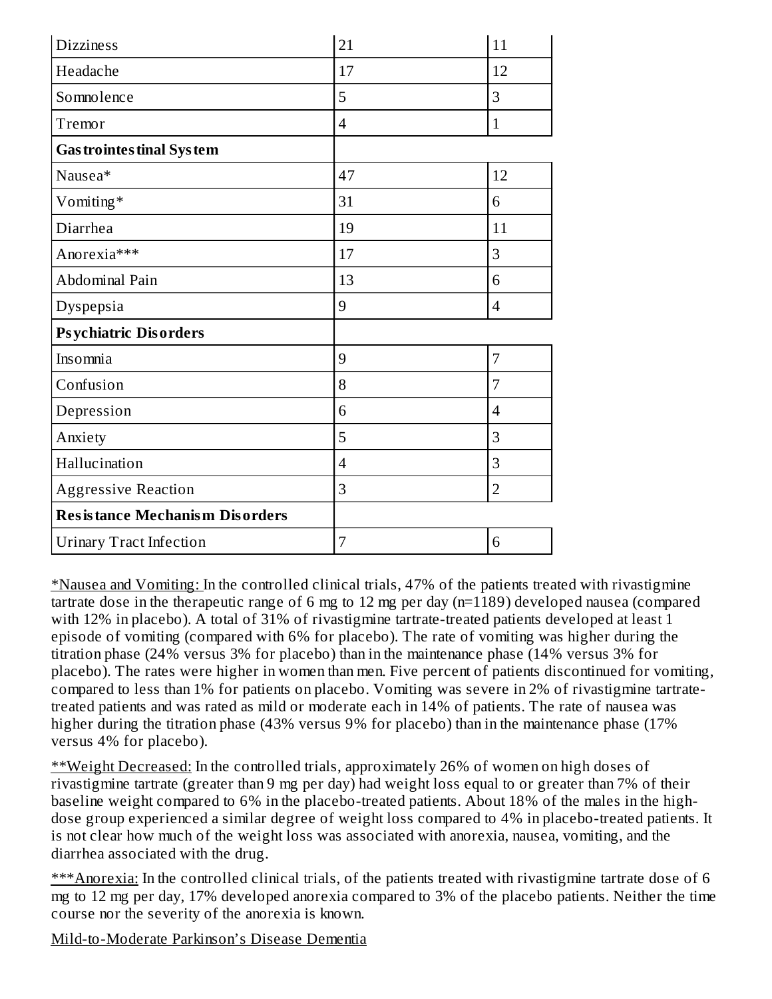| <b>Dizziness</b>                      | 21             | 11             |
|---------------------------------------|----------------|----------------|
| Headache                              | 17             | 12             |
| Somnolence                            | 5              | 3              |
| Tremor                                | $\overline{4}$ | $\mathbf{1}$   |
| <b>Gas trointes tinal System</b>      |                |                |
| Nausea*                               | 47             | 12             |
| Vomiting*                             | 31             | 6              |
| Diarrhea                              | 19             | 11             |
| Anorexia***                           | 17             | 3              |
| Abdominal Pain                        | 13             | 6              |
| Dyspepsia                             | 9              | $\overline{4}$ |
| <b>Psychiatric Disorders</b>          |                |                |
| Insomnia                              | 9              | 7              |
| Confusion                             | 8              | 7              |
| Depression                            | 6              | $\overline{4}$ |
| Anxiety                               | 5              | 3              |
| Hallucination                         | $\overline{4}$ | 3              |
| <b>Aggressive Reaction</b>            | 3              | $\overline{2}$ |
| <b>Resistance Mechanism Disorders</b> |                |                |
| <b>Urinary Tract Infection</b>        | 7              | 6              |

\*Nausea and Vomiting: In the controlled clinical trials, 47% of the patients treated with rivastigmine tartrate dose in the therapeutic range of 6 mg to 12 mg per day (n=1189) developed nausea (compared with 12% in placebo). A total of 31% of rivastigmine tartrate-treated patients developed at least 1 episode of vomiting (compared with 6% for placebo). The rate of vomiting was higher during the titration phase (24% versus 3% for placebo) than in the maintenance phase (14% versus 3% for placebo). The rates were higher in women than men. Five percent of patients discontinued for vomiting, compared to less than 1% for patients on placebo. Vomiting was severe in 2% of rivastigmine tartratetreated patients and was rated as mild or moderate each in 14% of patients. The rate of nausea was higher during the titration phase (43% versus 9% for placebo) than in the maintenance phase (17% versus 4% for placebo).

\*\*Weight Decreased: In the controlled trials, approximately 26% of women on high doses of rivastigmine tartrate (greater than 9 mg per day) had weight loss equal to or greater than 7% of their baseline weight compared to 6% in the placebo-treated patients. About 18% of the males in the highdose group experienced a similar degree of weight loss compared to 4% in placebo-treated patients. It is not clear how much of the weight loss was associated with anorexia, nausea, vomiting, and the diarrhea associated with the drug.

\*\*\*Anorexia: In the controlled clinical trials, of the patients treated with rivastigmine tartrate dose of 6 mg to 12 mg per day, 17% developed anorexia compared to 3% of the placebo patients. Neither the time course nor the severity of the anorexia is known.

Mild-to-Moderate Parkinson's Disease Dementia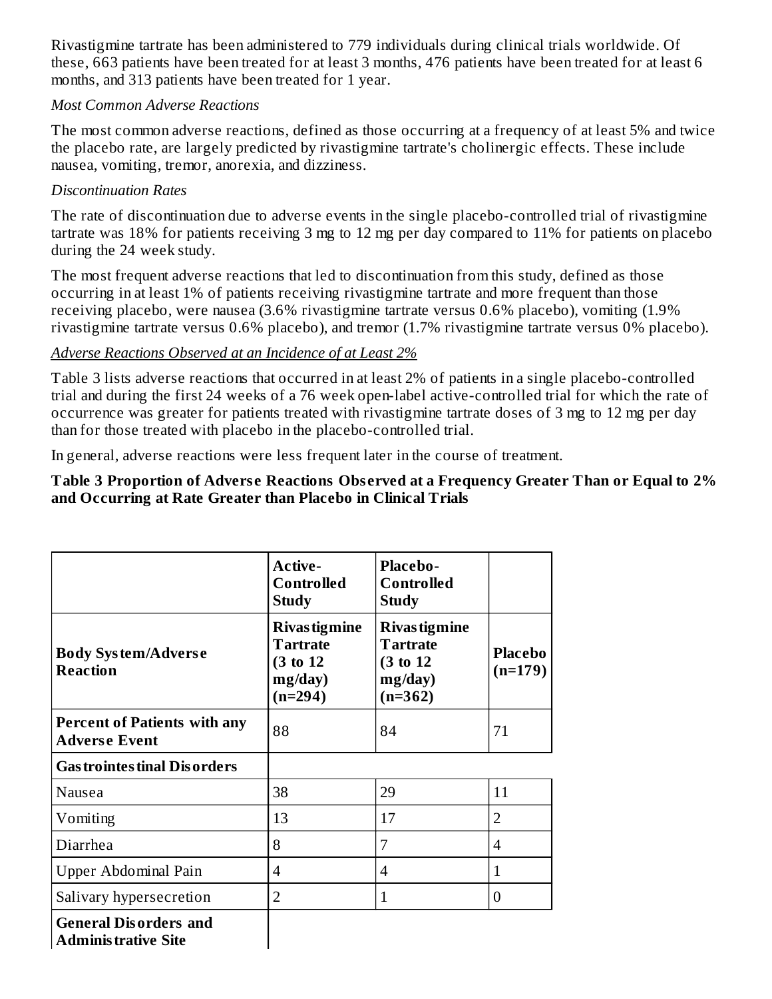Rivastigmine tartrate has been administered to 779 individuals during clinical trials worldwide. Of these, 663 patients have been treated for at least 3 months, 476 patients have been treated for at least 6 months, and 313 patients have been treated for 1 year.

#### *Most Common Adverse Reactions*

The most common adverse reactions, defined as those occurring at a frequency of at least 5% and twice the placebo rate, are largely predicted by rivastigmine tartrate's cholinergic effects. These include nausea, vomiting, tremor, anorexia, and dizziness.

#### *Discontinuation Rates*

The rate of discontinuation due to adverse events in the single placebo-controlled trial of rivastigmine tartrate was 18% for patients receiving 3 mg to 12 mg per day compared to 11% for patients on placebo during the 24 week study.

The most frequent adverse reactions that led to discontinuation from this study, defined as those occurring in at least 1% of patients receiving rivastigmine tartrate and more frequent than those receiving placebo, were nausea (3.6% rivastigmine tartrate versus 0.6% placebo), vomiting (1.9% rivastigmine tartrate versus 0.6% placebo), and tremor (1.7% rivastigmine tartrate versus 0% placebo).

#### *Adverse Reactions Observed at an Incidence of at Least 2%*

Table 3 lists adverse reactions that occurred in at least 2% of patients in a single placebo-controlled trial and during the first 24 weeks of a 76 week open-label active-controlled trial for which the rate of occurrence was greater for patients treated with rivastigmine tartrate doses of 3 mg to 12 mg per day than for those treated with placebo in the placebo-controlled trial.

In general, adverse reactions were less frequent later in the course of treatment.

#### **Table 3 Proportion of Advers e Reactions Obs erved at a Frequency Greater Than or Equal to 2% and Occurring at Rate Greater than Placebo in Clinical Trials**

|                                                             | <b>Active-</b><br><b>Controlled</b><br><b>Study</b>                          | <b>Placebo-</b><br><b>Controlled</b><br><b>Study</b>                         |                             |
|-------------------------------------------------------------|------------------------------------------------------------------------------|------------------------------------------------------------------------------|-----------------------------|
| <b>Body System/Adverse</b><br><b>Reaction</b>               | <b>Rivas tigmine</b><br><b>Tartrate</b><br>(3 to 12)<br>mg/day)<br>$(n=294)$ | <b>Rivas tigmine</b><br><b>Tartrate</b><br>(3 to 12)<br>mg/day)<br>$(n=362)$ | <b>Placebo</b><br>$(n=179)$ |
| <b>Percent of Patients with any</b><br><b>Adverse Event</b> | 88                                                                           | 84                                                                           | 71                          |
| <b>Gas trointes tinal Dis orders</b>                        |                                                                              |                                                                              |                             |
| Nausea                                                      | 38                                                                           | 29                                                                           | 11                          |
| Vomiting                                                    | 13                                                                           | 17                                                                           | $\overline{2}$              |
| Diarrhea                                                    | 8                                                                            | 7                                                                            | $\overline{4}$              |
| Upper Abdominal Pain                                        | $\boldsymbol{\vartriangle}$                                                  | 4                                                                            | $\mathbf{1}$                |
| Salivary hypersecretion                                     | $\overline{2}$                                                               | $\mathbf{1}$                                                                 | $\overline{0}$              |
| <b>General Disorders and</b><br><b>Administrative Site</b>  |                                                                              |                                                                              |                             |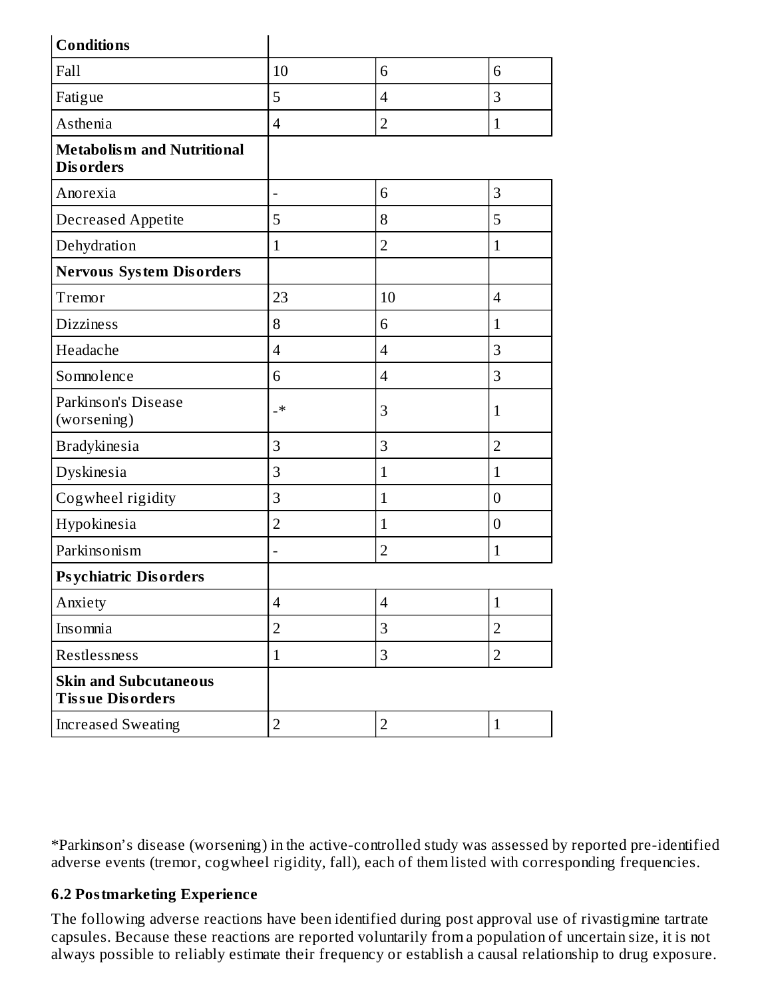| <b>Conditions</b>                                       |                |                |                  |
|---------------------------------------------------------|----------------|----------------|------------------|
| Fall                                                    | 10             | 6              | 6                |
| Fatigue                                                 | 5              | $\overline{4}$ | 3                |
| Asthenia                                                | $\overline{4}$ | $\overline{2}$ | $\mathbf{1}$     |
| <b>Metabolism and Nutritional</b><br><b>Disorders</b>   |                |                |                  |
| Anorexia                                                |                | 6              | 3                |
| Decreased Appetite                                      | 5              | 8              | 5                |
| Dehydration                                             | $\mathbf{1}$   | $\overline{2}$ | $\mathbf{1}$     |
| <b>Nervous System Disorders</b>                         |                |                |                  |
| Tremor                                                  | 23             | 10             | $\overline{4}$   |
| <b>Dizziness</b>                                        | 8              | 6              | $\mathbf{1}$     |
| Headache                                                | $\overline{4}$ | $\overline{4}$ | 3                |
| Somnolence                                              | 6              | $\overline{4}$ | 3                |
| Parkinson's Disease<br>(worsening)                      | _∗             | 3              | $\mathbf{1}$     |
| <b>Bradykinesia</b>                                     | $\overline{3}$ | 3              | $\overline{2}$   |
| Dyskinesia                                              | 3              | $\mathbf{1}$   | $\mathbf{1}$     |
| Cogwheel rigidity                                       | 3              | $\mathbf{1}$   | $\boldsymbol{0}$ |
| Hypokinesia                                             | $\overline{2}$ | $\mathbf{1}$   | $\boldsymbol{0}$ |
| Parkinsonism                                            | -              | $\overline{2}$ | $\mathbf{1}$     |
| <b>Psychiatric Disorders</b>                            |                |                |                  |
| Anxiety                                                 | $\overline{4}$ | $\overline{4}$ | $\mathbf 1$      |
| Insomnia                                                | $\overline{2}$ | 3              | $\overline{2}$   |
| Restlessness                                            | $\mathbf{1}$   | 3              | $\overline{2}$   |
| <b>Skin and Subcutaneous</b><br><b>Tissue Disorders</b> |                |                |                  |
| <b>Increased Sweating</b>                               | $\overline{2}$ | $\overline{2}$ | $\mathbf{1}$     |

\*Parkinson's disease (worsening) in the active-controlled study was assessed by reported pre-identified adverse events (tremor, cogwheel rigidity, fall), each of them listed with corresponding frequencies.

# **6.2 Postmarketing Experience**

The following adverse reactions have been identified during post approval use of rivastigmine tartrate capsules. Because these reactions are reported voluntarily from a population of uncertain size, it is not always possible to reliably estimate their frequency or establish a causal relationship to drug exposure.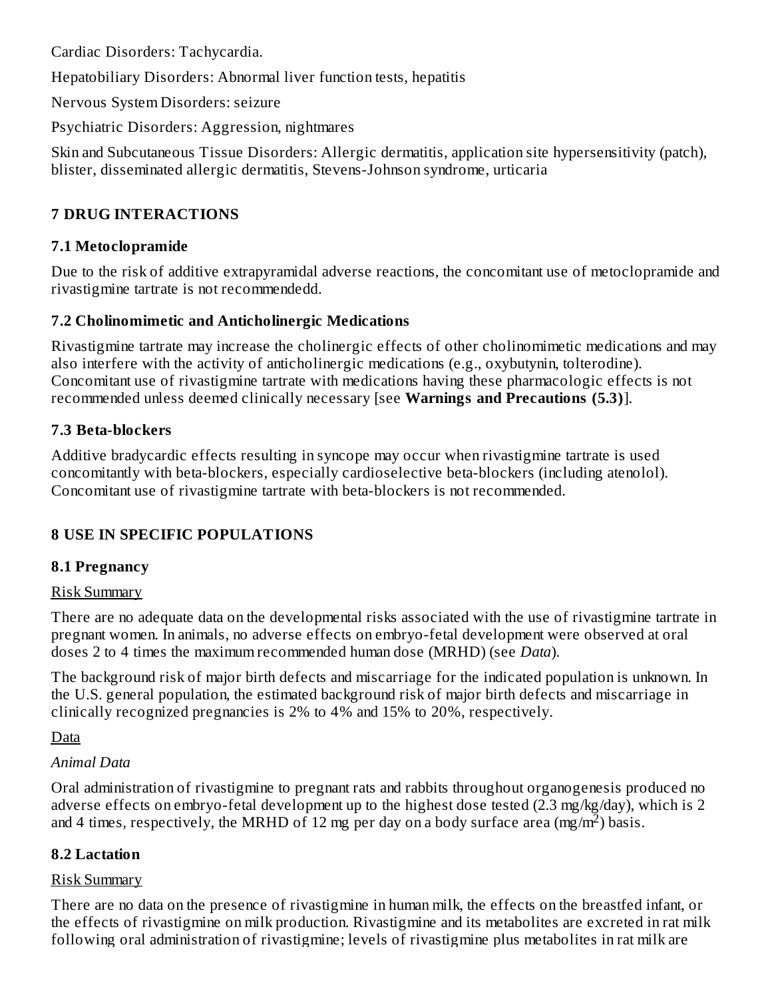Cardiac Disorders: Tachycardia.

Hepatobiliary Disorders: Abnormal liver function tests, hepatitis

Nervous System Disorders: seizure

Psychiatric Disorders: Aggression, nightmares

Skin and Subcutaneous Tissue Disorders: Allergic dermatitis, application site hypersensitivity (patch), blister, disseminated allergic dermatitis, Stevens-Johnson syndrome, urticaria

# **7 DRUG INTERACTIONS**

#### **7.1 Metoclopramide**

Due to the risk of additive extrapyramidal adverse reactions, the concomitant use of metoclopramide and rivastigmine tartrate is not recommendedd.

### **7.2 Cholinomimetic and Anticholinergic Medications**

Rivastigmine tartrate may increase the cholinergic effects of other cholinomimetic medications and may also interfere with the activity of anticholinergic medications (e.g., oxybutynin, tolterodine). Concomitant use of rivastigmine tartrate with medications having these pharmacologic effects is not recommended unless deemed clinically necessary [see **Warnings and Precautions (5.3)**].

### **7.3 Beta-blockers**

Additive bradycardic effects resulting in syncope may occur when rivastigmine tartrate is used concomitantly with beta-blockers, especially cardioselective beta-blockers (including atenolol). Concomitant use of rivastigmine tartrate with beta-blockers is not recommended.

# **8 USE IN SPECIFIC POPULATIONS**

#### **8.1 Pregnancy**

#### Risk Summary

There are no adequate data on the developmental risks associated with the use of rivastigmine tartrate in pregnant women. In animals, no adverse effects on embryo-fetal development were observed at oral doses 2 to 4 times the maximum recommended human dose (MRHD) (see *Data*).

The background risk of major birth defects and miscarriage for the indicated population is unknown. In the U.S. general population, the estimated background risk of major birth defects and miscarriage in clinically recognized pregnancies is 2% to 4% and 15% to 20%, respectively.

Data

#### *Animal Data*

Oral administration of rivastigmine to pregnant rats and rabbits throughout organogenesis produced no adverse effects on embryo-fetal development up to the highest dose tested (2.3 mg/kg/day), which is 2 and 4 times, respectively, the MRHD of 12 mg per day on a body surface area (mg/m<sup>2</sup>) basis.

#### **8.2 Lactation**

#### Risk Summary

There are no data on the presence of rivastigmine in human milk, the effects on the breastfed infant, or the effects of rivastigmine on milk production. Rivastigmine and its metabolites are excreted in rat milk following oral administration of rivastigmine; levels of rivastigmine plus metabolites in rat milk are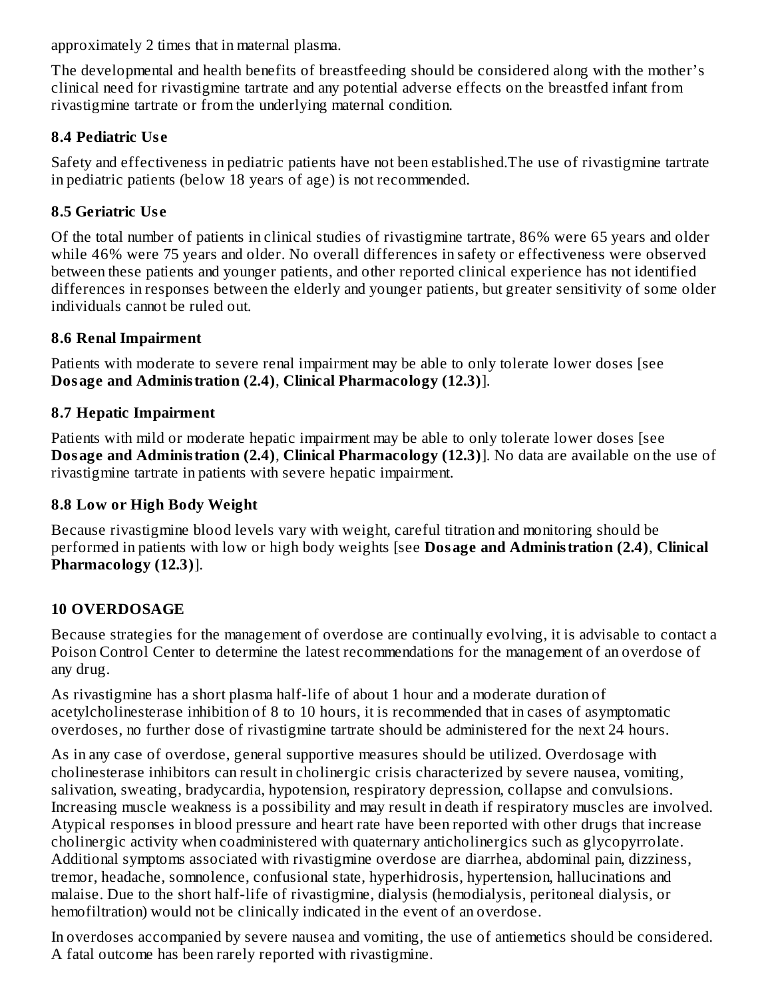approximately 2 times that in maternal plasma.

The developmental and health benefits of breastfeeding should be considered along with the mother's clinical need for rivastigmine tartrate and any potential adverse effects on the breastfed infant from rivastigmine tartrate or from the underlying maternal condition.

## **8.4 Pediatric Us e**

Safety and effectiveness in pediatric patients have not been established.The use of rivastigmine tartrate in pediatric patients (below 18 years of age) is not recommended.

## **8.5 Geriatric Us e**

Of the total number of patients in clinical studies of rivastigmine tartrate, 86% were 65 years and older while 46% were 75 years and older. No overall differences in safety or effectiveness were observed between these patients and younger patients, and other reported clinical experience has not identified differences in responses between the elderly and younger patients, but greater sensitivity of some older individuals cannot be ruled out.

### **8.6 Renal Impairment**

Patients with moderate to severe renal impairment may be able to only tolerate lower doses [see **Dosage and Administration (2.4)**, **Clinical Pharmacology (12.3)**].

### **8.7 Hepatic Impairment**

Patients with mild or moderate hepatic impairment may be able to only tolerate lower doses [see **Dosage and Administration (2.4)**, **Clinical Pharmacology (12.3)**]. No data are available on the use of rivastigmine tartrate in patients with severe hepatic impairment.

## **8.8 Low or High Body Weight**

Because rivastigmine blood levels vary with weight, careful titration and monitoring should be performed in patients with low or high body weights [see **Dosage and Administration (2.4)**, **Clinical Pharmacology (12.3)**].

# **10 OVERDOSAGE**

Because strategies for the management of overdose are continually evolving, it is advisable to contact a Poison Control Center to determine the latest recommendations for the management of an overdose of any drug.

As rivastigmine has a short plasma half-life of about 1 hour and a moderate duration of acetylcholinesterase inhibition of 8 to 10 hours, it is recommended that in cases of asymptomatic overdoses, no further dose of rivastigmine tartrate should be administered for the next 24 hours.

As in any case of overdose, general supportive measures should be utilized. Overdosage with cholinesterase inhibitors can result in cholinergic crisis characterized by severe nausea, vomiting, salivation, sweating, bradycardia, hypotension, respiratory depression, collapse and convulsions. Increasing muscle weakness is a possibility and may result in death if respiratory muscles are involved. Atypical responses in blood pressure and heart rate have been reported with other drugs that increase cholinergic activity when coadministered with quaternary anticholinergics such as glycopyrrolate. Additional symptoms associated with rivastigmine overdose are diarrhea, abdominal pain, dizziness, tremor, headache, somnolence, confusional state, hyperhidrosis, hypertension, hallucinations and malaise. Due to the short half-life of rivastigmine, dialysis (hemodialysis, peritoneal dialysis, or hemofiltration) would not be clinically indicated in the event of an overdose.

In overdoses accompanied by severe nausea and vomiting, the use of antiemetics should be considered. A fatal outcome has been rarely reported with rivastigmine.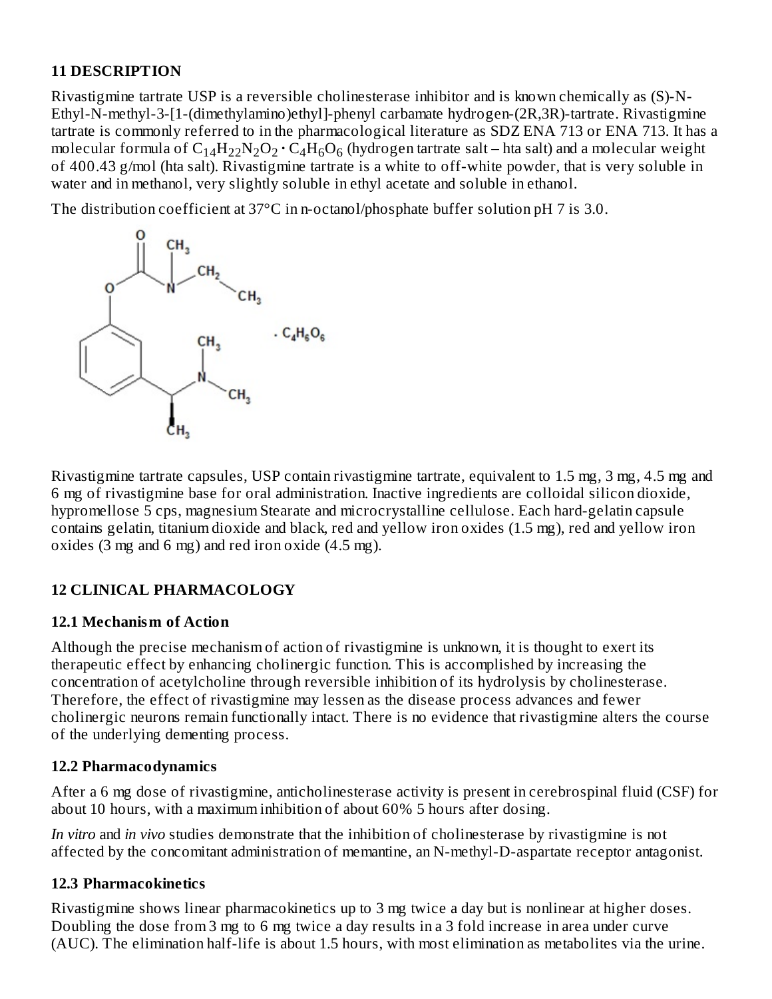#### **11 DESCRIPTION**

Rivastigmine tartrate USP is a reversible cholinesterase inhibitor and is known chemically as (S)-N-Ethyl-N-methyl-3-[1-(dimethylamino)ethyl]-phenyl carbamate hydrogen-(2R,3R)-tartrate. Rivastigmine tartrate is commonly referred to in the pharmacological literature as SDZ ENA 713 or ENA 713. It has a molecular formula of  $\rm{C_{14}H_{22}N_2O_2\cdot C_4H_6O_6}$  (hydrogen tartrate salt – hta salt) and a molecular weight of 400.43 g/mol (hta salt). Rivastigmine tartrate is a white to off-white powder, that is very soluble in water and in methanol, very slightly soluble in ethyl acetate and soluble in ethanol.

The distribution coefficient at 37°C in n-octanol/phosphate buffer solution pH 7 is 3.0.



Rivastigmine tartrate capsules, USP contain rivastigmine tartrate, equivalent to 1.5 mg, 3 mg, 4.5 mg and 6 mg of rivastigmine base for oral administration. Inactive ingredients are colloidal silicon dioxide, hypromellose 5 cps, magnesium Stearate and microcrystalline cellulose. Each hard-gelatin capsule contains gelatin, titanium dioxide and black, red and yellow iron oxides (1.5 mg), red and yellow iron oxides (3 mg and 6 mg) and red iron oxide (4.5 mg).

# **12 CLINICAL PHARMACOLOGY**

#### **12.1 Mechanism of Action**

Although the precise mechanism of action of rivastigmine is unknown, it is thought to exert its therapeutic effect by enhancing cholinergic function. This is accomplished by increasing the concentration of acetylcholine through reversible inhibition of its hydrolysis by cholinesterase. Therefore, the effect of rivastigmine may lessen as the disease process advances and fewer cholinergic neurons remain functionally intact. There is no evidence that rivastigmine alters the course of the underlying dementing process.

#### **12.2 Pharmacodynamics**

After a 6 mg dose of rivastigmine, anticholinesterase activity is present in cerebrospinal fluid (CSF) for about 10 hours, with a maximum inhibition of about 60% 5 hours after dosing.

*In vitro* and *in vivo* studies demonstrate that the inhibition of cholinesterase by rivastigmine is not affected by the concomitant administration of memantine, an N-methyl-D-aspartate receptor antagonist.

# **12.3 Pharmacokinetics**

Rivastigmine shows linear pharmacokinetics up to 3 mg twice a day but is nonlinear at higher doses. Doubling the dose from 3 mg to 6 mg twice a day results in a 3 fold increase in area under curve (AUC). The elimination half-life is about 1.5 hours, with most elimination as metabolites via the urine.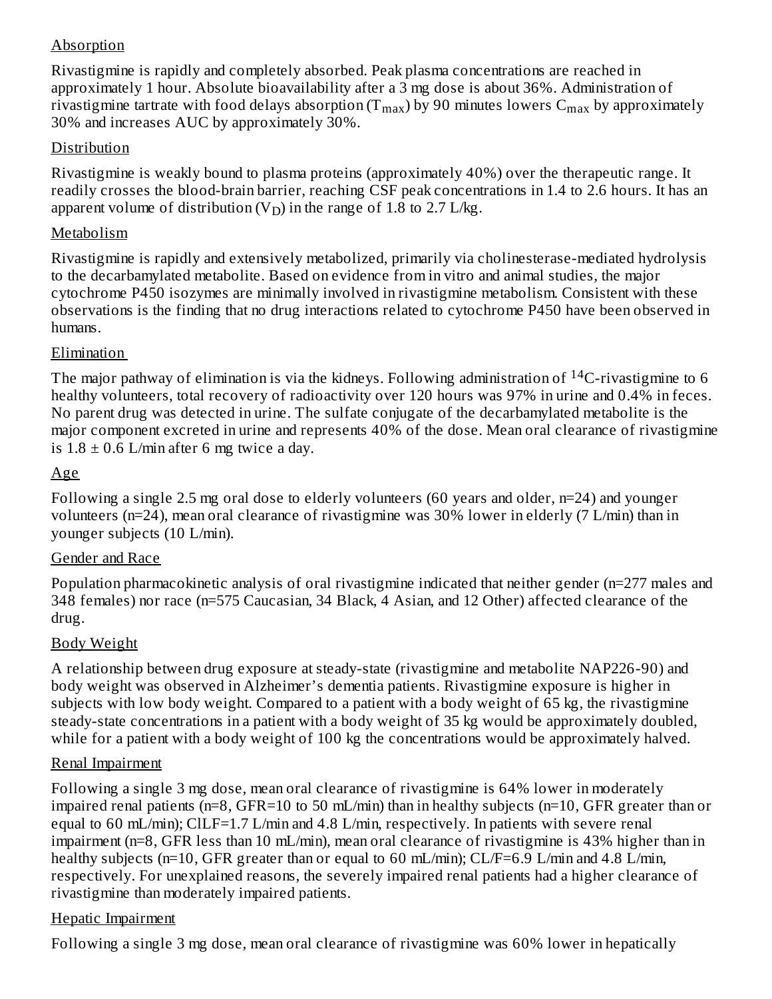# Absorption

Rivastigmine is rapidly and completely absorbed. Peak plasma concentrations are reached in approximately 1 hour. Absolute bioavailability after a 3 mg dose is about 36%. Administration of rivastigmine tartrate with food delays absorption (T $_{\rm max}$ ) by 90 minutes lowers  $\rm C_{max}$  by approximately 30% and increases AUC by approximately 30%.

#### Distribution

Rivastigmine is weakly bound to plasma proteins (approximately 40%) over the therapeutic range. It readily crosses the blood-brain barrier, reaching CSF peak concentrations in 1.4 to 2.6 hours. It has an apparent volume of distribution (V<sub>D</sub>) in the range of 1.8 to 2.7 L/kg.

#### Metabolism

Rivastigmine is rapidly and extensively metabolized, primarily via cholinesterase-mediated hydrolysis to the decarbamylated metabolite. Based on evidence from in vitro and animal studies, the major cytochrome P450 isozymes are minimally involved in rivastigmine metabolism. Consistent with these observations is the finding that no drug interactions related to cytochrome P450 have been observed in humans.

#### Elimination

The major pathway of elimination is via the kidneys. Following administration of  $^{14}$ C-rivastigmine to 6 healthy volunteers, total recovery of radioactivity over 120 hours was 97% in urine and 0.4% in feces. No parent drug was detected in urine. The sulfate conjugate of the decarbamylated metabolite is the major component excreted in urine and represents 40% of the dose. Mean oral clearance of rivastigmine is  $1.8 \pm 0.6$  L/min after 6 mg twice a day.

#### Age

Following a single 2.5 mg oral dose to elderly volunteers (60 years and older, n=24) and younger volunteers (n=24), mean oral clearance of rivastigmine was 30% lower in elderly (7 L/min) than in younger subjects (10 L/min).

#### Gender and Race

Population pharmacokinetic analysis of oral rivastigmine indicated that neither gender (n=277 males and 348 females) nor race (n=575 Caucasian, 34 Black, 4 Asian, and 12 Other) affected clearance of the drug.

#### Body Weight

A relationship between drug exposure at steady-state (rivastigmine and metabolite NAP226-90) and body weight was observed in Alzheimer's dementia patients. Rivastigmine exposure is higher in subjects with low body weight. Compared to a patient with a body weight of 65 kg, the rivastigmine steady-state concentrations in a patient with a body weight of 35 kg would be approximately doubled, while for a patient with a body weight of 100 kg the concentrations would be approximately halved.

#### Renal Impairment

Following a single 3 mg dose, mean oral clearance of rivastigmine is 64% lower in moderately impaired renal patients (n=8, GFR=10 to 50 mL/min) than in healthy subjects (n=10, GFR greater than or equal to 60 mL/min); ClLF=1.7 L/min and 4.8 L/min, respectively. In patients with severe renal impairment (n=8, GFR less than 10 mL/min), mean oral clearance of rivastigmine is 43% higher than in healthy subjects (n=10, GFR greater than or equal to 60 mL/min); CL/F=6.9 L/min and 4.8 L/min, respectively. For unexplained reasons, the severely impaired renal patients had a higher clearance of rivastigmine than moderately impaired patients.

#### Hepatic Impairment

Following a single 3 mg dose, mean oral clearance of rivastigmine was 60% lower in hepatically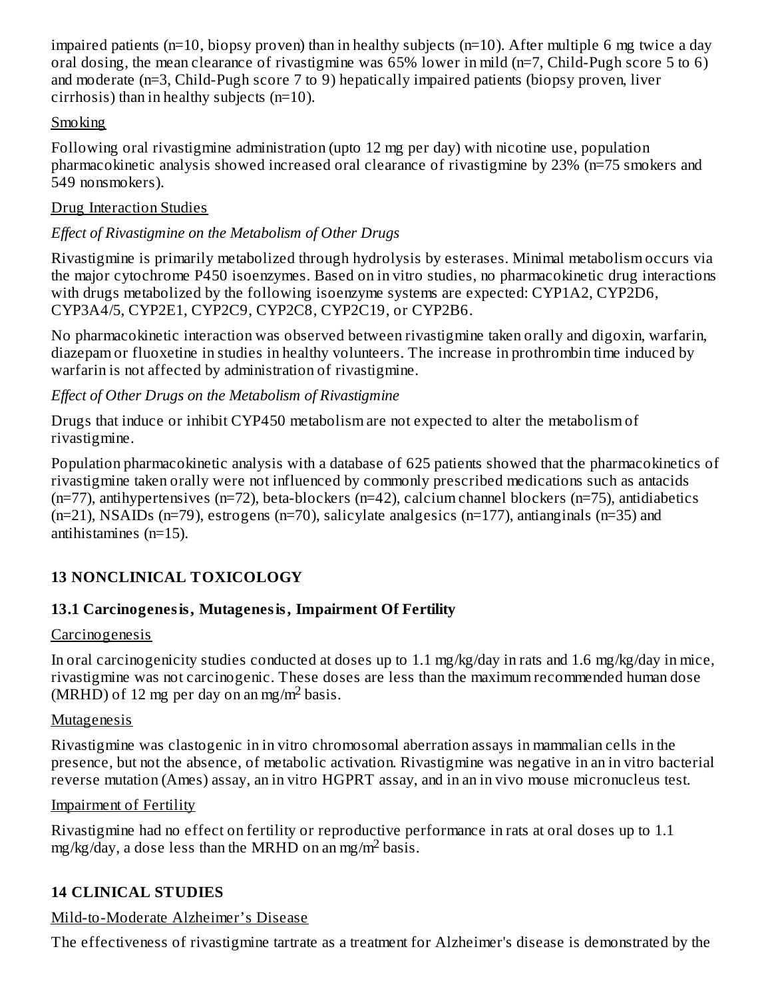impaired patients (n=10, biopsy proven) than in healthy subjects (n=10). After multiple 6 mg twice a day oral dosing, the mean clearance of rivastigmine was 65% lower in mild (n=7, Child-Pugh score 5 to 6) and moderate (n=3, Child-Pugh score 7 to 9) hepatically impaired patients (biopsy proven, liver cirrhosis) than in healthy subjects (n=10).

# Smoking

Following oral rivastigmine administration (upto 12 mg per day) with nicotine use, population pharmacokinetic analysis showed increased oral clearance of rivastigmine by 23% (n=75 smokers and 549 nonsmokers).

## Drug Interaction Studies

# *Effect of Rivastigmine on the Metabolism of Other Drugs*

Rivastigmine is primarily metabolized through hydrolysis by esterases. Minimal metabolism occurs via the major cytochrome P450 isoenzymes. Based on in vitro studies, no pharmacokinetic drug interactions with drugs metabolized by the following isoenzyme systems are expected: CYP1A2, CYP2D6, CYP3A4/5, CYP2E1, CYP2C9, CYP2C8, CYP2C19, or CYP2B6.

No pharmacokinetic interaction was observed between rivastigmine taken orally and digoxin, warfarin, diazepam or fluoxetine in studies in healthy volunteers. The increase in prothrombin time induced by warfarin is not affected by administration of rivastigmine.

# *Effect of Other Drugs on the Metabolism of Rivastigmine*

Drugs that induce or inhibit CYP450 metabolism are not expected to alter the metabolism of rivastigmine.

Population pharmacokinetic analysis with a database of 625 patients showed that the pharmacokinetics of rivastigmine taken orally were not influenced by commonly prescribed medications such as antacids (n=77), antihypertensives (n=72), beta-blockers (n=42), calcium channel blockers (n=75), antidiabetics (n=21), NSAIDs (n=79), estrogens (n=70), salicylate analgesics (n=177), antianginals (n=35) and antihistamines (n=15).

# **13 NONCLINICAL TOXICOLOGY**

# **13.1 Carcinogenesis, Mutagenesis, Impairment Of Fertility**

# Carcinogenesis

In oral carcinogenicity studies conducted at doses up to 1.1 mg/kg/day in rats and 1.6 mg/kg/day in mice, rivastigmine was not carcinogenic. These doses are less than the maximum recommended human dose  $(MRH\ddot{D})$  of 12 mg per day on an mg/m<sup>2</sup> basis.

# Mutagenesis

Rivastigmine was clastogenic in in vitro chromosomal aberration assays in mammalian cells in the presence, but not the absence, of metabolic activation. Rivastigmine was negative in an in vitro bacterial reverse mutation (Ames) assay, an in vitro HGPRT assay, and in an in vivo mouse micronucleus test.

# Impairment of Fertility

Rivastigmine had no effect on fertility or reproductive performance in rats at oral doses up to 1.1 mg/kg/day, a dose less than the MRHD on an mg/m<sup>2</sup> basis.

# **14 CLINICAL STUDIES**

# Mild-to-Moderate Alzheimer's Disease

The effectiveness of rivastigmine tartrate as a treatment for Alzheimer's disease is demonstrated by the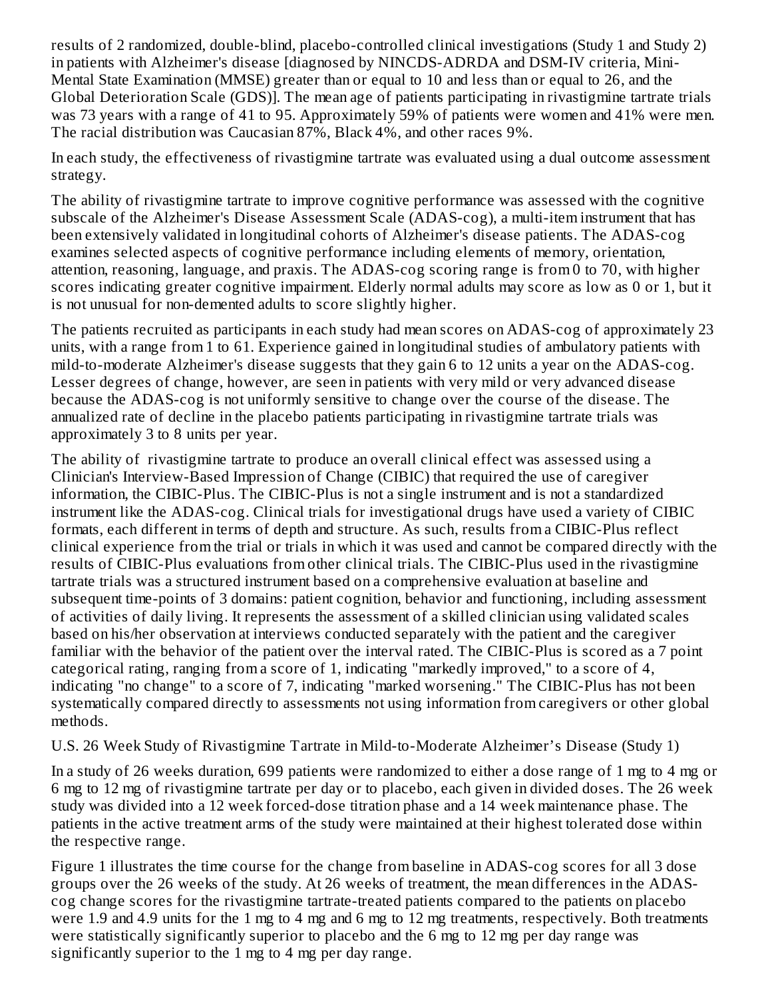results of 2 randomized, double-blind, placebo-controlled clinical investigations (Study 1 and Study 2) in patients with Alzheimer's disease [diagnosed by NINCDS-ADRDA and DSM-IV criteria, Mini-Mental State Examination (MMSE) greater than or equal to 10 and less than or equal to 26, and the Global Deterioration Scale (GDS)]. The mean age of patients participating in rivastigmine tartrate trials was 73 years with a range of 41 to 95. Approximately 59% of patients were women and 41% were men. The racial distribution was Caucasian 87%, Black 4%, and other races 9%.

In each study, the effectiveness of rivastigmine tartrate was evaluated using a dual outcome assessment strategy.

The ability of rivastigmine tartrate to improve cognitive performance was assessed with the cognitive subscale of the Alzheimer's Disease Assessment Scale (ADAS-cog), a multi-item instrument that has been extensively validated in longitudinal cohorts of Alzheimer's disease patients. The ADAS-cog examines selected aspects of cognitive performance including elements of memory, orientation, attention, reasoning, language, and praxis. The ADAS-cog scoring range is from 0 to 70, with higher scores indicating greater cognitive impairment. Elderly normal adults may score as low as 0 or 1, but it is not unusual for non-demented adults to score slightly higher.

The patients recruited as participants in each study had mean scores on ADAS-cog of approximately 23 units, with a range from 1 to 61. Experience gained in longitudinal studies of ambulatory patients with mild-to-moderate Alzheimer's disease suggests that they gain 6 to 12 units a year on the ADAS-cog. Lesser degrees of change, however, are seen in patients with very mild or very advanced disease because the ADAS-cog is not uniformly sensitive to change over the course of the disease. The annualized rate of decline in the placebo patients participating in rivastigmine tartrate trials was approximately 3 to 8 units per year.

The ability of rivastigmine tartrate to produce an overall clinical effect was assessed using a Clinician's Interview-Based Impression of Change (CIBIC) that required the use of caregiver information, the CIBIC-Plus. The CIBIC-Plus is not a single instrument and is not a standardized instrument like the ADAS-cog. Clinical trials for investigational drugs have used a variety of CIBIC formats, each different in terms of depth and structure. As such, results from a CIBIC-Plus reflect clinical experience from the trial or trials in which it was used and cannot be compared directly with the results of CIBIC-Plus evaluations from other clinical trials. The CIBIC-Plus used in the rivastigmine tartrate trials was a structured instrument based on a comprehensive evaluation at baseline and subsequent time-points of 3 domains: patient cognition, behavior and functioning, including assessment of activities of daily living. It represents the assessment of a skilled clinician using validated scales based on his/her observation at interviews conducted separately with the patient and the caregiver familiar with the behavior of the patient over the interval rated. The CIBIC-Plus is scored as a 7 point categorical rating, ranging from a score of 1, indicating "markedly improved," to a score of 4, indicating "no change" to a score of 7, indicating "marked worsening." The CIBIC-Plus has not been systematically compared directly to assessments not using information from caregivers or other global methods.

U.S. 26 Week Study of Rivastigmine Tartrate in Mild-to-Moderate Alzheimer's Disease (Study 1)

In a study of 26 weeks duration, 699 patients were randomized to either a dose range of 1 mg to 4 mg or 6 mg to 12 mg of rivastigmine tartrate per day or to placebo, each given in divided doses. The 26 week study was divided into a 12 week forced-dose titration phase and a 14 week maintenance phase. The patients in the active treatment arms of the study were maintained at their highest tolerated dose within the respective range.

Figure 1 illustrates the time course for the change from baseline in ADAS-cog scores for all 3 dose groups over the 26 weeks of the study. At 26 weeks of treatment, the mean differences in the ADAScog change scores for the rivastigmine tartrate-treated patients compared to the patients on placebo were 1.9 and 4.9 units for the 1 mg to 4 mg and 6 mg to 12 mg treatments, respectively. Both treatments were statistically significantly superior to placebo and the 6 mg to 12 mg per day range was significantly superior to the 1 mg to 4 mg per day range.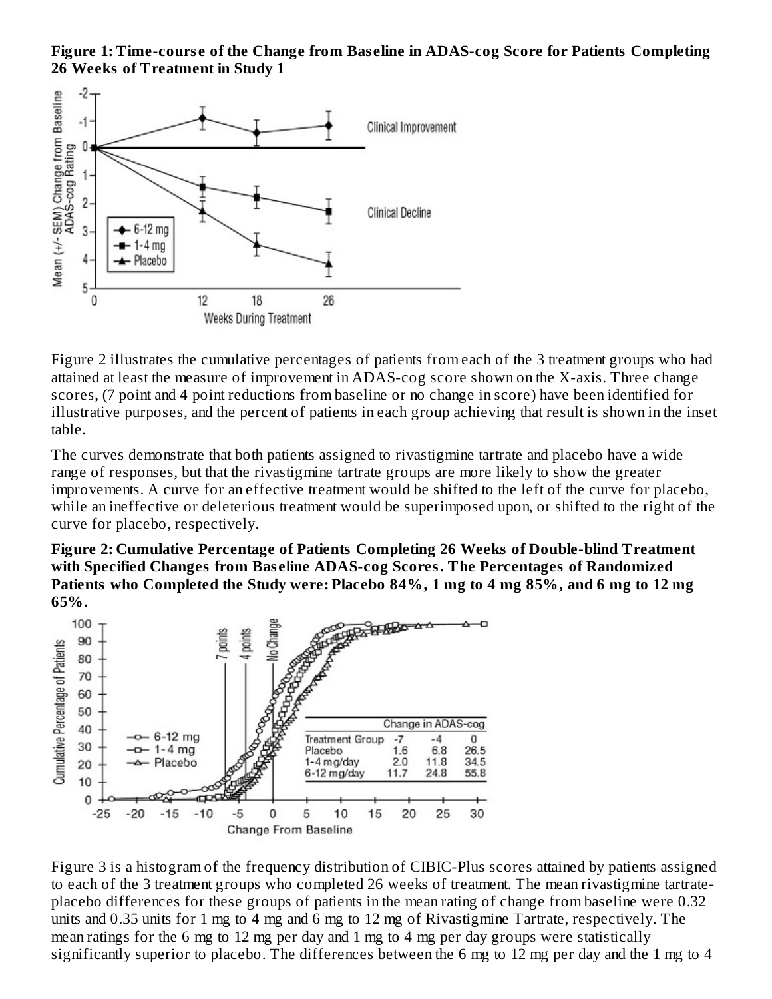**Figure 1: Time-cours e of the Change from Bas eline in ADAS-cog Score for Patients Completing 26 Weeks of Treatment in Study 1**



Figure 2 illustrates the cumulative percentages of patients from each of the 3 treatment groups who had attained at least the measure of improvement in ADAS-cog score shown on the X-axis. Three change scores, (7 point and 4 point reductions from baseline or no change in score) have been identified for illustrative purposes, and the percent of patients in each group achieving that result is shown in the inset table.

The curves demonstrate that both patients assigned to rivastigmine tartrate and placebo have a wide range of responses, but that the rivastigmine tartrate groups are more likely to show the greater improvements. A curve for an effective treatment would be shifted to the left of the curve for placebo, while an ineffective or deleterious treatment would be superimposed upon, or shifted to the right of the curve for placebo, respectively.

**Figure 2: Cumulative Percentage of Patients Completing 26 Weeks of Double-blind Treatment with Specified Changes from Bas eline ADAS-cog Scores. The Percentages of Randomized** Patients who Completed the Study were: Placebo 84%, 1 mg to 4 mg 85%, and 6 mg to 12 mg **65%.**



Figure 3 is a histogram of the frequency distribution of CIBIC-Plus scores attained by patients assigned to each of the 3 treatment groups who completed 26 weeks of treatment. The mean rivastigmine tartrateplacebo differences for these groups of patients in the mean rating of change from baseline were 0.32 units and 0.35 units for 1 mg to 4 mg and 6 mg to 12 mg of Rivastigmine Tartrate, respectively. The mean ratings for the 6 mg to 12 mg per day and 1 mg to 4 mg per day groups were statistically significantly superior to placebo. The differences between the 6 mg to 12 mg per day and the 1 mg to 4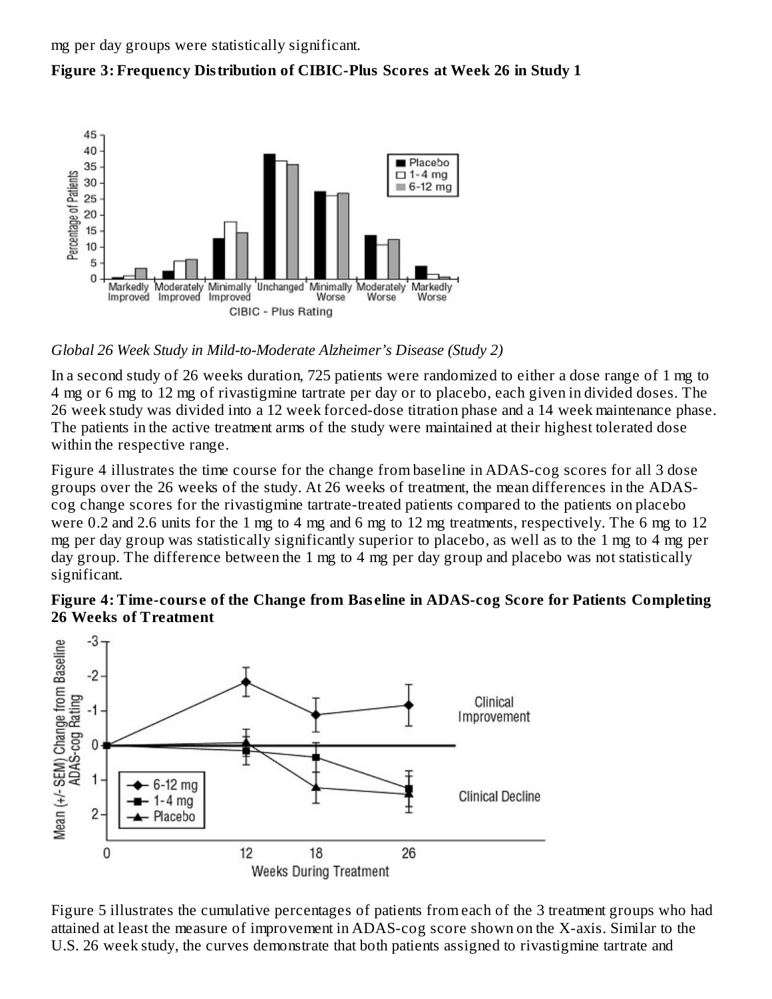



# *Global 26 Week Study in Mild-to-Moderate Alzheimer's Disease (Study 2)*

In a second study of 26 weeks duration, 725 patients were randomized to either a dose range of 1 mg to 4 mg or 6 mg to 12 mg of rivastigmine tartrate per day or to placebo, each given in divided doses. The 26 week study was divided into a 12 week forced-dose titration phase and a 14 week maintenance phase. The patients in the active treatment arms of the study were maintained at their highest tolerated dose within the respective range.

Figure 4 illustrates the time course for the change from baseline in ADAS-cog scores for all 3 dose groups over the 26 weeks of the study. At 26 weeks of treatment, the mean differences in the ADAScog change scores for the rivastigmine tartrate-treated patients compared to the patients on placebo were 0.2 and 2.6 units for the 1 mg to 4 mg and 6 mg to 12 mg treatments, respectively. The 6 mg to 12 mg per day group was statistically significantly superior to placebo, as well as to the 1 mg to 4 mg per day group. The difference between the 1 mg to 4 mg per day group and placebo was not statistically significant.





Figure 5 illustrates the cumulative percentages of patients from each of the 3 treatment groups who had attained at least the measure of improvement in ADAS-cog score shown on the X-axis. Similar to the U.S. 26 week study, the curves demonstrate that both patients assigned to rivastigmine tartrate and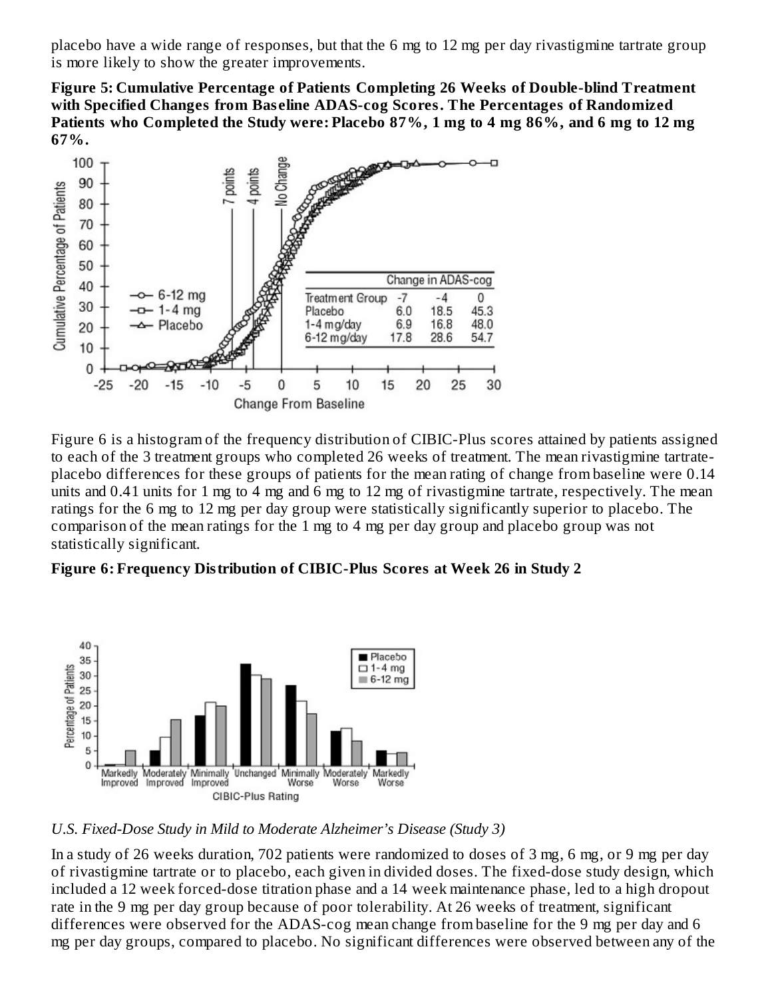placebo have a wide range of responses, but that the 6 mg to 12 mg per day rivastigmine tartrate group is more likely to show the greater improvements.

**Figure 5: Cumulative Percentage of Patients Completing 26 Weeks of Double-blind Treatment with Specified Changes from Bas eline ADAS-cog Scores. The Percentages of Randomized** Patients who Completed the Study were: Placebo 87%, 1 mg to 4 mg 86%, and 6 mg to 12 mg **67%.**



Figure 6 is a histogram of the frequency distribution of CIBIC-Plus scores attained by patients assigned to each of the 3 treatment groups who completed 26 weeks of treatment. The mean rivastigmine tartrateplacebo differences for these groups of patients for the mean rating of change from baseline were 0.14 units and 0.41 units for 1 mg to 4 mg and 6 mg to 12 mg of rivastigmine tartrate, respectively. The mean ratings for the 6 mg to 12 mg per day group were statistically significantly superior to placebo. The comparison of the mean ratings for the 1 mg to 4 mg per day group and placebo group was not statistically significant.

#### **Figure 6: Frequency Distribution of CIBIC-Plus Scores at Week 26 in Study 2**



*U.S. Fixed-Dose Study in Mild to Moderate Alzheimer's Disease (Study 3)*

In a study of 26 weeks duration, 702 patients were randomized to doses of 3 mg, 6 mg, or 9 mg per day of rivastigmine tartrate or to placebo, each given in divided doses. The fixed-dose study design, which included a 12 week forced-dose titration phase and a 14 week maintenance phase, led to a high dropout rate in the 9 mg per day group because of poor tolerability. At 26 weeks of treatment, significant differences were observed for the ADAS-cog mean change from baseline for the 9 mg per day and 6 mg per day groups, compared to placebo. No significant differences were observed between any of the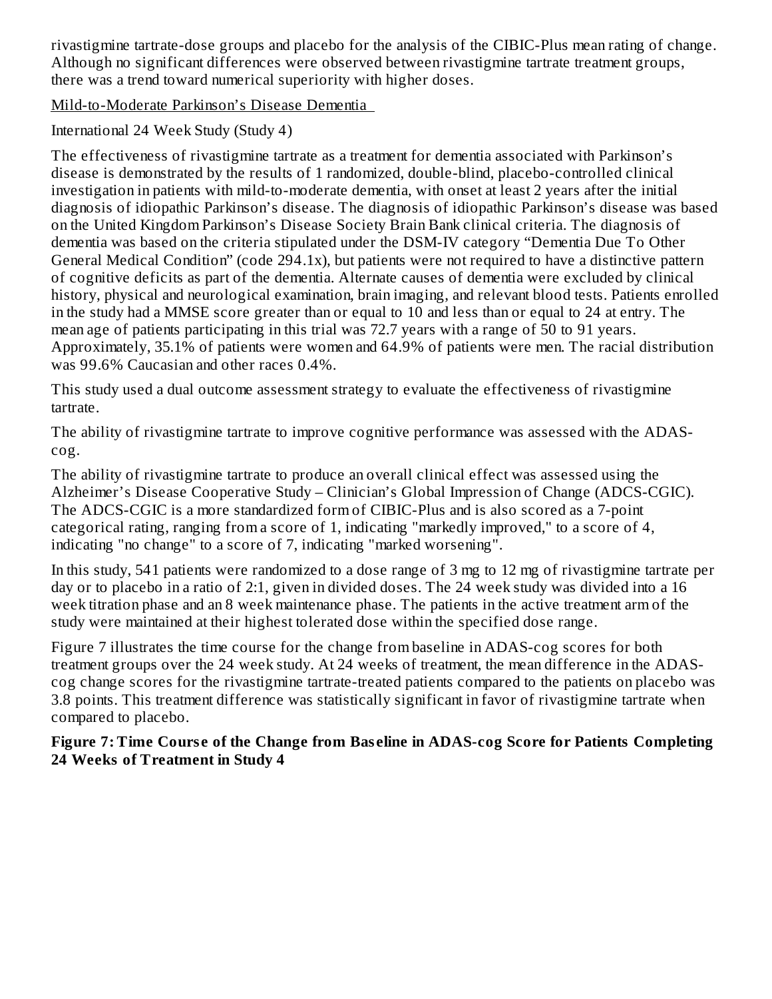rivastigmine tartrate-dose groups and placebo for the analysis of the CIBIC-Plus mean rating of change. Although no significant differences were observed between rivastigmine tartrate treatment groups, there was a trend toward numerical superiority with higher doses.

Mild-to-Moderate Parkinson's Disease Dementia

International 24 Week Study (Study 4)

The effectiveness of rivastigmine tartrate as a treatment for dementia associated with Parkinson's disease is demonstrated by the results of 1 randomized, double-blind, placebo-controlled clinical investigation in patients with mild-to-moderate dementia, with onset at least 2 years after the initial diagnosis of idiopathic Parkinson's disease. The diagnosis of idiopathic Parkinson's disease was based on the United Kingdom Parkinson's Disease Society Brain Bank clinical criteria. The diagnosis of dementia was based on the criteria stipulated under the DSM-IV category "Dementia Due To Other General Medical Condition" (code 294.1x), but patients were not required to have a distinctive pattern of cognitive deficits as part of the dementia. Alternate causes of dementia were excluded by clinical history, physical and neurological examination, brain imaging, and relevant blood tests. Patients enrolled in the study had a MMSE score greater than or equal to 10 and less than or equal to 24 at entry. The mean age of patients participating in this trial was 72.7 years with a range of 50 to 91 years. Approximately, 35.1% of patients were women and 64.9% of patients were men. The racial distribution was 99.6% Caucasian and other races 0.4%.

This study used a dual outcome assessment strategy to evaluate the effectiveness of rivastigmine tartrate.

The ability of rivastigmine tartrate to improve cognitive performance was assessed with the ADAScog.

The ability of rivastigmine tartrate to produce an overall clinical effect was assessed using the Alzheimer's Disease Cooperative Study – Clinician's Global Impression of Change (ADCS-CGIC). The ADCS-CGIC is a more standardized form of CIBIC-Plus and is also scored as a 7-point categorical rating, ranging from a score of 1, indicating "markedly improved," to a score of 4, indicating "no change" to a score of 7, indicating "marked worsening".

In this study, 541 patients were randomized to a dose range of 3 mg to 12 mg of rivastigmine tartrate per day or to placebo in a ratio of 2:1, given in divided doses. The 24 week study was divided into a 16 week titration phase and an 8 week maintenance phase. The patients in the active treatment arm of the study were maintained at their highest tolerated dose within the specified dose range.

Figure 7 illustrates the time course for the change from baseline in ADAS-cog scores for both treatment groups over the 24 week study. At 24 weeks of treatment, the mean difference in the ADAScog change scores for the rivastigmine tartrate-treated patients compared to the patients on placebo was 3.8 points. This treatment difference was statistically significant in favor of rivastigmine tartrate when compared to placebo.

#### **Figure 7: Time Cours e of the Change from Bas eline in ADAS-cog Score for Patients Completing 24 Weeks of Treatment in Study 4**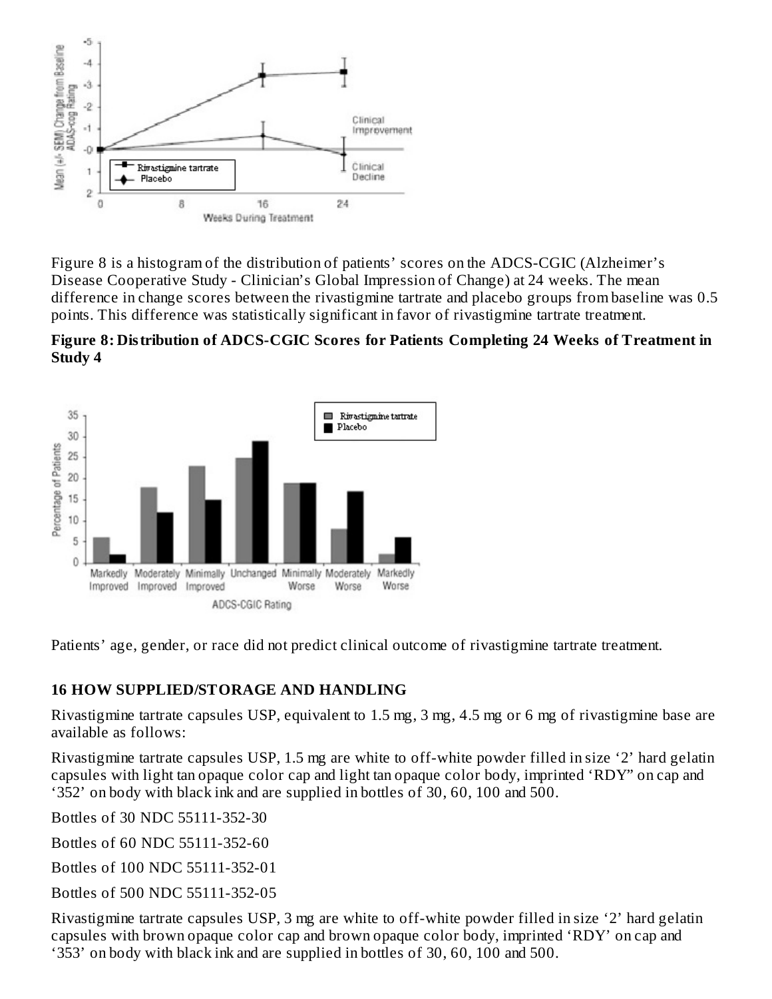

Figure 8 is a histogram of the distribution of patients' scores on the ADCS-CGIC (Alzheimer's Disease Cooperative Study - Clinician's Global Impression of Change) at 24 weeks. The mean difference in change scores between the rivastigmine tartrate and placebo groups from baseline was 0.5 points. This difference was statistically significant in favor of rivastigmine tartrate treatment.





Patients' age, gender, or race did not predict clinical outcome of rivastigmine tartrate treatment.

#### **16 HOW SUPPLIED/STORAGE AND HANDLING**

Rivastigmine tartrate capsules USP, equivalent to 1.5 mg, 3 mg, 4.5 mg or 6 mg of rivastigmine base are available as follows:

Rivastigmine tartrate capsules USP, 1.5 mg are white to off-white powder filled in size '2' hard gelatin capsules with light tan opaque color cap and light tan opaque color body, imprinted 'RDY" on cap and '352' on body with black ink and are supplied in bottles of 30, 60, 100 and 500.

Bottles of 30 NDC 55111-352-30

Bottles of 60 NDC 55111-352-60

Bottles of 100 NDC 55111-352-01

Bottles of 500 NDC 55111-352-05

Rivastigmine tartrate capsules USP, 3 mg are white to off-white powder filled in size '2' hard gelatin capsules with brown opaque color cap and brown opaque color body, imprinted 'RDY' on cap and '353' on body with black ink and are supplied in bottles of 30, 60, 100 and 500.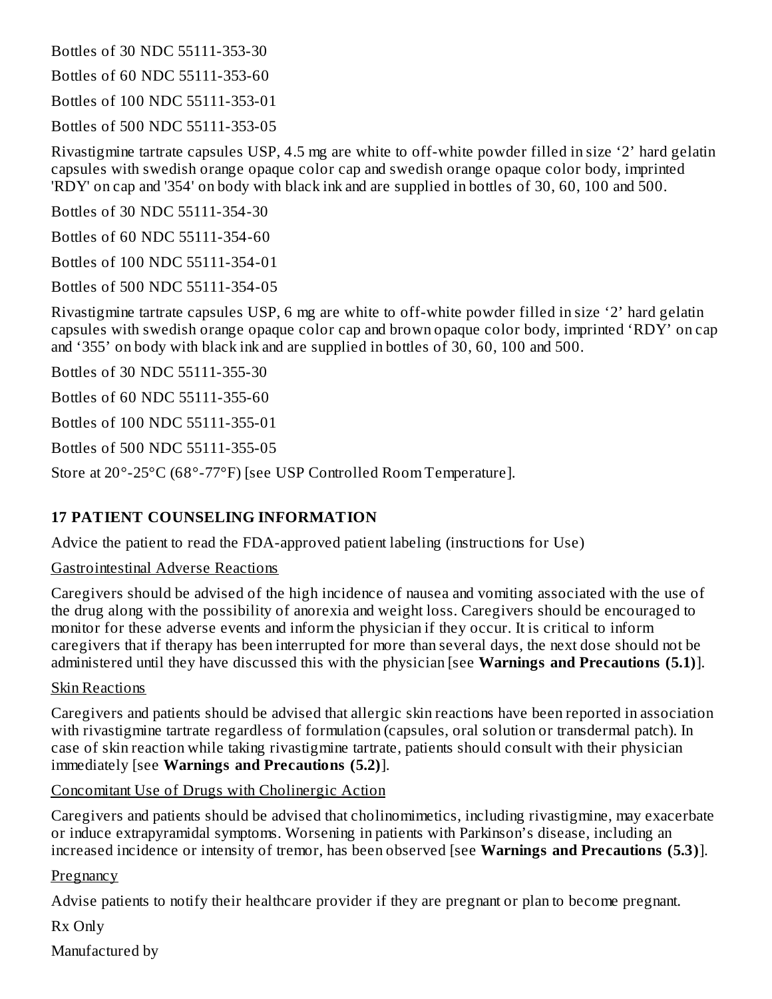Bottles of 30 NDC 55111-353-30

Bottles of 60 NDC 55111-353-60

Bottles of 100 NDC 55111-353-01

Bottles of 500 NDC 55111-353-05

Rivastigmine tartrate capsules USP, 4.5 mg are white to off-white powder filled in size '2' hard gelatin capsules with swedish orange opaque color cap and swedish orange opaque color body, imprinted 'RDY' on cap and '354' on body with black ink and are supplied in bottles of 30, 60, 100 and 500.

Bottles of 30 NDC 55111-354-30

Bottles of 60 NDC 55111-354-60

Bottles of 100 NDC 55111-354-01

Bottles of 500 NDC 55111-354-05

Rivastigmine tartrate capsules USP, 6 mg are white to off-white powder filled in size '2' hard gelatin capsules with swedish orange opaque color cap and brown opaque color body, imprinted 'RDY' on cap and '355' on body with black ink and are supplied in bottles of 30, 60, 100 and 500.

Bottles of 30 NDC 55111-355-30

Bottles of 60 NDC 55111-355-60

Bottles of 100 NDC 55111-355-01

Bottles of 500 NDC 55111-355-05

Store at 20°-25°C (68°-77°F) [see USP Controlled Room Temperature].

#### **17 PATIENT COUNSELING INFORMATION**

Advice the patient to read the FDA-approved patient labeling (instructions for Use)

#### Gastrointestinal Adverse Reactions

Caregivers should be advised of the high incidence of nausea and vomiting associated with the use of the drug along with the possibility of anorexia and weight loss. Caregivers should be encouraged to monitor for these adverse events and inform the physician if they occur. It is critical to inform caregivers that if therapy has been interrupted for more than several days, the next dose should not be administered until they have discussed this with the physician [see **Warnings and Precautions (5.1)**].

#### Skin Reactions

Caregivers and patients should be advised that allergic skin reactions have been reported in association with rivastigmine tartrate regardless of formulation (capsules, oral solution or transdermal patch). In case of skin reaction while taking rivastigmine tartrate, patients should consult with their physician immediately [see **Warnings and Precautions (5.2)**].

#### Concomitant Use of Drugs with Cholinergic Action

Caregivers and patients should be advised that cholinomimetics, including rivastigmine, may exacerbate or induce extrapyramidal symptoms. Worsening in patients with Parkinson's disease, including an increased incidence or intensity of tremor, has been observed [see **Warnings and Precautions (5.3)**].

#### **Pregnancy**

Advise patients to notify their healthcare provider if they are pregnant or plan to become pregnant.

Rx Only

Manufactured by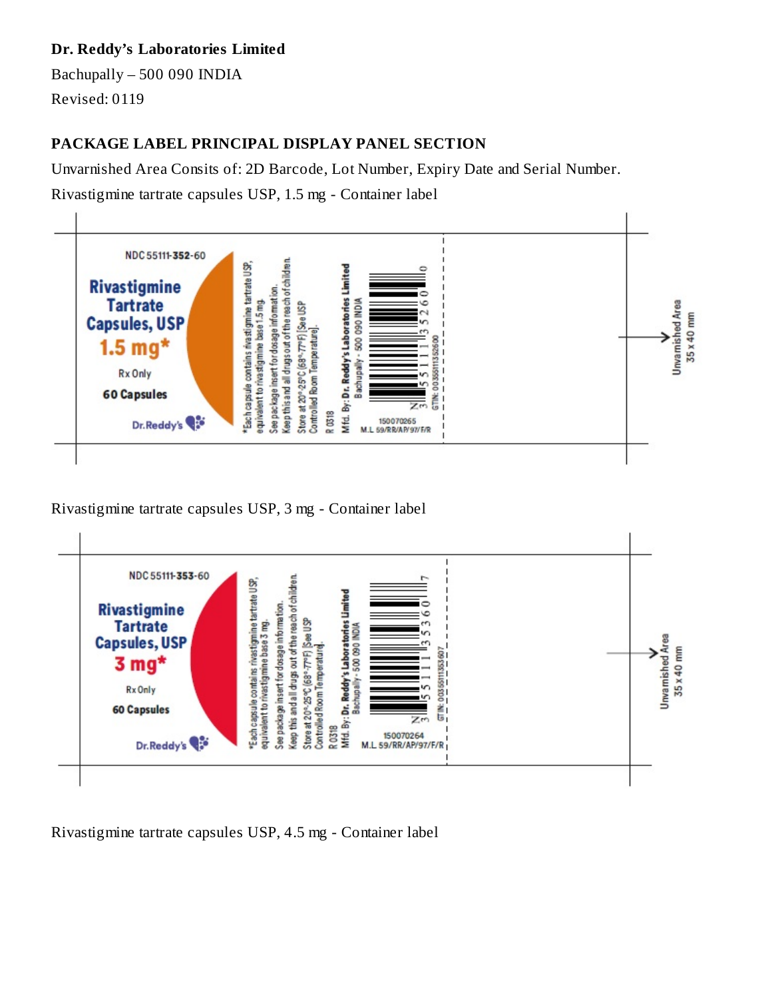#### **Dr. Reddy's Laboratories Limited**

Bachupally – 500 090 INDIA Revised: 0119

# **PACKAGE LABEL PRINCIPAL DISPLAY PANEL SECTION**

Unvarnished Area Consits of: 2D Barcode, Lot Number, Expiry Date and Serial Number.

Rivastigmine tartrate capsules USP, 1.5 mg - Container label



Rivastigmine tartrate capsules USP, 3 mg - Container label



Rivastigmine tartrate capsules USP, 4.5 mg - Container label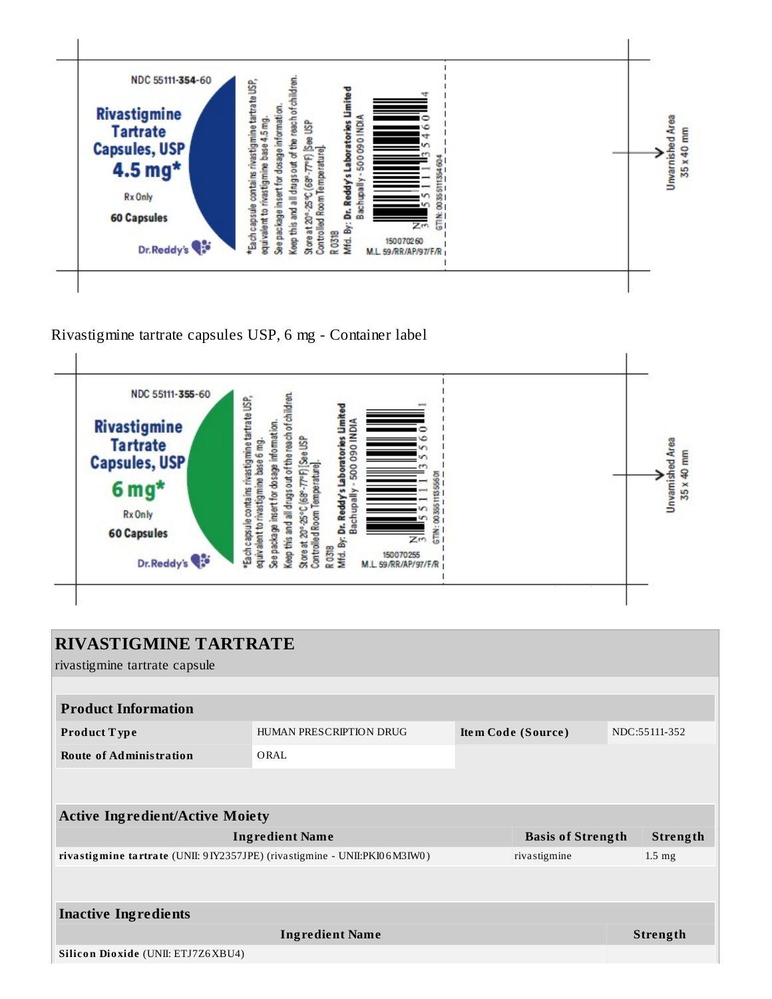

Rivastigmine tartrate capsules USP, 6 mg - Container label



| <b>RIVASTIGMINE TARTRATE</b>                                                 |                         |                    |                          |  |                  |
|------------------------------------------------------------------------------|-------------------------|--------------------|--------------------------|--|------------------|
|                                                                              |                         |                    |                          |  |                  |
| rivastigmine tartrate capsule                                                |                         |                    |                          |  |                  |
|                                                                              |                         |                    |                          |  |                  |
| <b>Product Information</b>                                                   |                         |                    |                          |  |                  |
| Product Type                                                                 | HUMAN PRESCRIPTION DRUG | Item Code (Source) |                          |  | NDC:55111-352    |
| <b>Route of Administration</b>                                               | ORAL                    |                    |                          |  |                  |
|                                                                              |                         |                    |                          |  |                  |
|                                                                              |                         |                    |                          |  |                  |
| <b>Active Ingredient/Active Moiety</b>                                       |                         |                    |                          |  |                  |
|                                                                              | <b>Ingredient Name</b>  |                    | <b>Basis of Strength</b> |  | Strength         |
| rivastigmine tartrate (UNII: 9 IY2357JPE) (rivastigmine - UNII: PKI06 M3IW0) |                         |                    | rivastigmine             |  | $1.5 \text{ mg}$ |
|                                                                              |                         |                    |                          |  |                  |
|                                                                              |                         |                    |                          |  |                  |
| <b>Inactive Ingredients</b>                                                  |                         |                    |                          |  |                  |
|                                                                              | <b>Ingredient Name</b>  |                    |                          |  | <b>Strength</b>  |
| Silicon Dioxide (UNII: ETJ7Z6XBU4)                                           |                         |                    |                          |  |                  |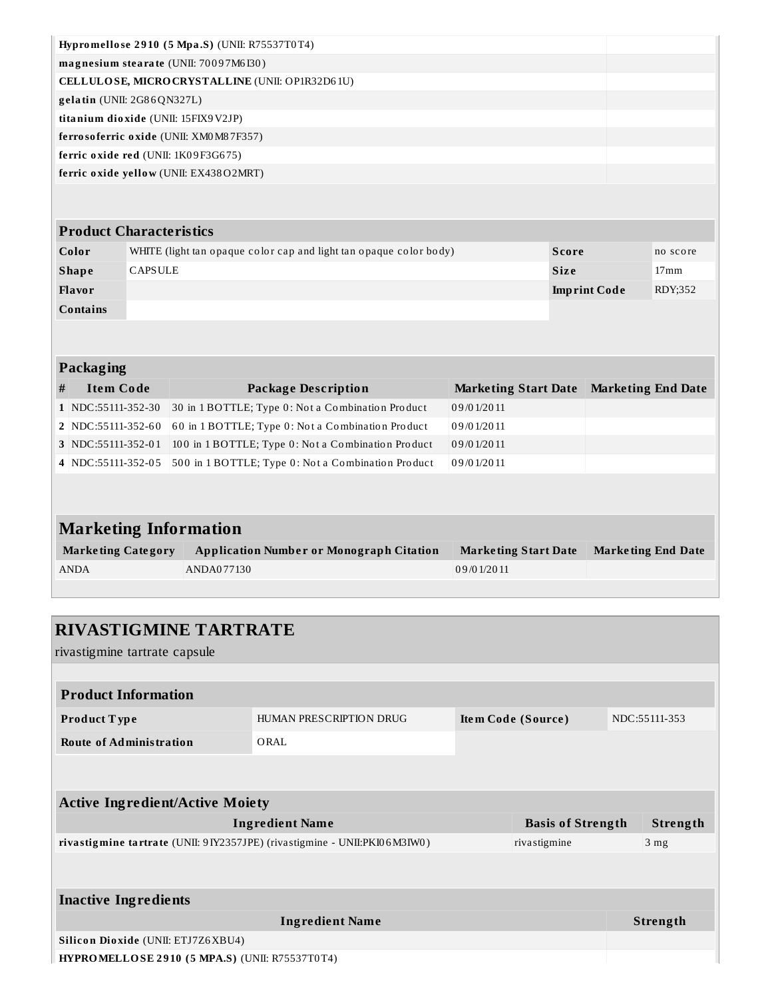| Hypromellose 2910 (5 Mpa.S) (UNII: R75537T0T4)  |  |
|-------------------------------------------------|--|
| magnesium stearate (UNII: 70097M6I30)           |  |
| CELLULOSE, MICRO CRYSTALLINE (UNII: OP1R32D61U) |  |
| $gelatin$ (UNII: $2G86QN327L$ )                 |  |
| titanium dioxide (UNII: 15FIX9V2JP)             |  |
| ferrosoferric oxide (UNII: XM0 M87F357)         |  |
| ferric oxide red (UNII: 1K09F3G675)             |  |
| ferric oxide yellow (UNII: EX438O2MRT)          |  |
|                                                 |  |
|                                                 |  |
| <b>Product Characteristics</b>                  |  |

| Color           | WHITE (light tan opaque color cap and light tan opaque color body) | Score               | no score |
|-----------------|--------------------------------------------------------------------|---------------------|----------|
| <b>Shape</b>    | CAPSULE                                                            | <b>Size</b>         | 17mm     |
| Flavor          |                                                                    | <b>Imprint Code</b> | RDY:352  |
| <b>Contains</b> |                                                                    |                     |          |

#### **Packaging**

| # | <b>Item Code</b>   | <b>Package Description</b>                                            | Marketing Start Date Marketing End Date |  |
|---|--------------------|-----------------------------------------------------------------------|-----------------------------------------|--|
|   | 1 NDC:55111-352-30 | 30 in 1 BOTTLE; Type 0: Not a Combination Product                     | 09/01/2011                              |  |
|   | 2 NDC:55111-352-60 | 60 in 1 BOTTLE; Type 0: Not a Combination Product                     | 09/01/2011                              |  |
|   | 3 NDC:55111-352-01 | 100 in 1 BOTTLE; Type 0: Not a Combination Product                    | 09/01/2011                              |  |
|   |                    | 4 NDC:55111-352-05 500 in 1 BOTTLE; Type 0: Not a Combination Product | 09/01/2011                              |  |

# **Marketing Information**

| <b>Marketing Category</b> | Application Number or Monograph Citation | <b>Marketing Start Date</b> | <b>Marketing End Date</b> |
|---------------------------|------------------------------------------|-----------------------------|---------------------------|
| <b>ANDA</b>               | ANDA077130                               | 09/01/2011                  |                           |
|                           |                                          |                             |                           |

# **RIVASTIGMINE TARTRATE**

rivastigmine tartrate capsule

| <b>Product Information</b>                                                   |                         |  |                    |  |                 |  |  |
|------------------------------------------------------------------------------|-------------------------|--|--------------------|--|-----------------|--|--|
| <b>Product Type</b>                                                          | HUMAN PRESCRIPTION DRUG |  | Item Code (Source) |  | NDC:55111-353   |  |  |
| <b>Route of Administration</b>                                               | ORAL                    |  |                    |  |                 |  |  |
|                                                                              |                         |  |                    |  |                 |  |  |
|                                                                              |                         |  |                    |  |                 |  |  |
| <b>Active Ingredient/Active Moiety</b>                                       |                         |  |                    |  |                 |  |  |
| <b>Ingredient Name</b><br><b>Basis of Strength</b>                           |                         |  |                    |  | Strength        |  |  |
| rivastigmine tartrate (UNII: 9 IY2357JPE) (rivastigmine - UNII: PKI06 M3IW0) |                         |  | rivastigmine       |  | 3 <sub>mg</sub> |  |  |
|                                                                              |                         |  |                    |  |                 |  |  |
|                                                                              |                         |  |                    |  |                 |  |  |
| <b>Inactive Ingredients</b>                                                  |                         |  |                    |  |                 |  |  |
| <b>Ingredient Name</b>                                                       |                         |  |                    |  | <b>Strength</b> |  |  |
| Silicon Dioxide (UNII: ETJ7Z6XBU4)                                           |                         |  |                    |  |                 |  |  |
| HYPROMELLOSE 2910 (5 MPA.S) (UNII: R75537T0T4)                               |                         |  |                    |  |                 |  |  |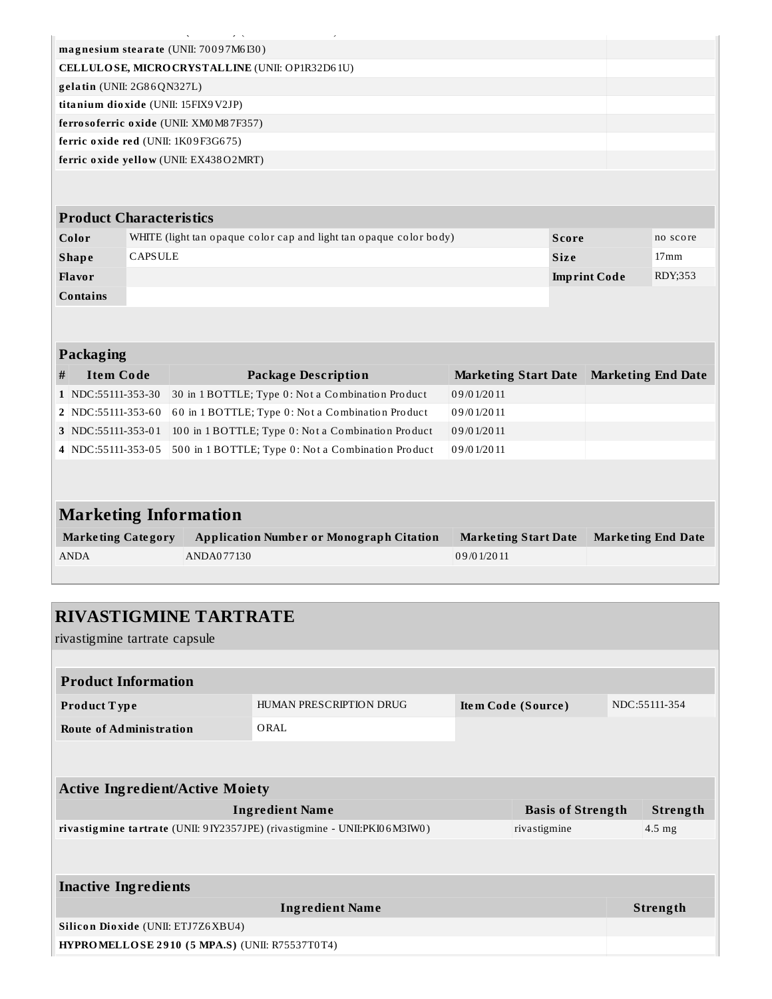| $\sim$                                          |  |
|-------------------------------------------------|--|
| magnesium stearate (UNII: 70097M6I30)           |  |
| CELLULOSE, MICRO CRYSTALLINE (UNII: OP1R32D61U) |  |
| $gelatin$ (UNII: $2G86QN327L$ )                 |  |
| titanium dioxide (UNII: 15FIX9V2JP)             |  |
| ferrosoferric oxide (UNII: XM0 M87F357)         |  |
| ferric oxide red (UNII: 1K09F3G675)             |  |
| ferric oxide yellow (UNII: EX438O2MRT)          |  |
|                                                 |  |

#### **Product Characteristics**

| Color    | WHITE (light tan opaque color cap and light tan opaque color body) | Score               | no score         |
|----------|--------------------------------------------------------------------|---------------------|------------------|
| Shape    | <b>CAPSULE</b>                                                     | <b>Size</b>         | 17 <sub>mm</sub> |
| Flavor   |                                                                    | <b>Imprint Code</b> | RDY;353          |
| Contains |                                                                    |                     |                  |

#### **Packaging**

| # | Item Code          | <b>Package Description</b>                                            | <b>Marketing Start Date</b> | <b>Marketing End Date</b> |
|---|--------------------|-----------------------------------------------------------------------|-----------------------------|---------------------------|
|   | 1 NDC:55111-353-30 | 30 in 1 BOTTLE; Type 0: Not a Combination Product                     | 09/01/2011                  |                           |
|   |                    | 2 NDC:55111-353-60 60 in 1 BOTTLE; Type 0: Not a Combination Product  | 09/01/2011                  |                           |
|   |                    | 3 NDC:55111-353-01 100 in 1 BOTTLE; Type 0: Not a Combination Product | 09/01/2011                  |                           |
|   |                    | 4 NDC:55111-353-05 500 in 1 BOTTLE; Type 0: Not a Combination Product | 09/01/2011                  |                           |

# **Marketing Information**

| <b>Marketing Category</b> | <b>Application Number or Monograph Citation</b> | <b>Marketing Start Date</b> | Marketing End Date |
|---------------------------|-------------------------------------------------|-----------------------------|--------------------|
| <b>ANDA</b>               | ANDA077130                                      | 09/01/2011                  |                    |

# **RIVASTIGMINE TARTRATE**

rivastigmine tartrate capsule

| <b>Product Information</b>             |                         |                          |               |  |  |  |
|----------------------------------------|-------------------------|--------------------------|---------------|--|--|--|
| <b>Product Type</b>                    | HUMAN PRESCRIPTION DRUG | Item Code (Source)       | NDC:55111-354 |  |  |  |
| <b>Route of Administration</b>         | ORAL                    |                          |               |  |  |  |
|                                        |                         |                          |               |  |  |  |
| <b>Active Ingredient/Active Moiety</b> |                         |                          |               |  |  |  |
|                                        | <b>Ingredient Name</b>  | <b>Basis of Strength</b> | Strength      |  |  |  |

| 'Ingredient Name                                                             | Basis of Strength | strengtn         |
|------------------------------------------------------------------------------|-------------------|------------------|
| rivastigmine tartrate (UNII: 9 IY2357JPE) (rivastigmine - UNII: PKI06 M3IW0) | rivastigmine      | $4.5 \text{ mg}$ |

# **Inactive Ingredients Ingredient Name Strength Silico n Dio xide** (UNII: ETJ7Z6XBU4) **HYPROMELLOSE 2 9 10 ( 5 MPA.S)** (UNII: R75537T0T4)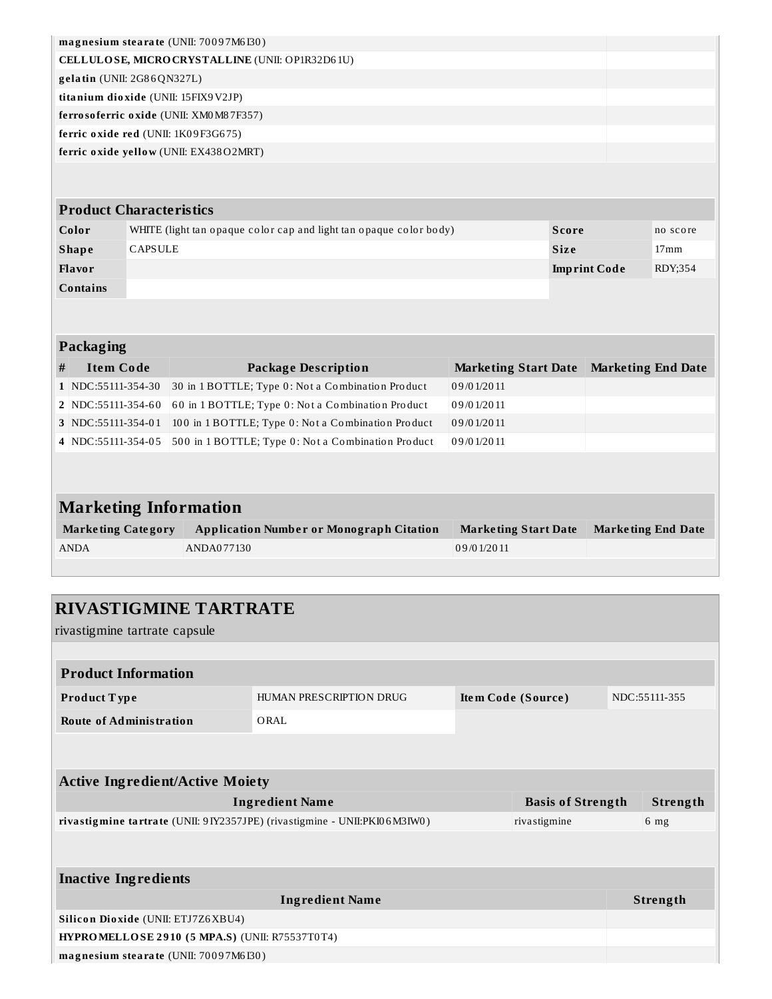| magnesium stearate (UNII: 70097M6I30)           |  |
|-------------------------------------------------|--|
| CELLULOSE, MICRO CRYSTALLINE (UNII: OP1R32D61U) |  |
| $gelatin$ (UNII: $2G86QN327L$ )                 |  |
| titanium dioxide (UNII: 15FIX9V2JP)             |  |
| ferrosoferric oxide (UNII: XM0M87F357)          |  |
| ferric oxide red (UNII: 1K09F3G675)             |  |
| ferric oxide yellow (UNII: EX438O2MRT)          |  |
|                                                 |  |
|                                                 |  |

| <b>Product Characteristics</b> |                                                                    |                     |                  |  |  |
|--------------------------------|--------------------------------------------------------------------|---------------------|------------------|--|--|
| Color                          | WHITE (light tan opaque color cap and light tan opaque color body) | Score               | no score         |  |  |
| <b>Shape</b>                   | <b>CAPSULE</b>                                                     | <b>Size</b>         | 17 <sub>mm</sub> |  |  |
| Flavor                         |                                                                    | <b>Imprint Code</b> | RDY:354          |  |  |
| <b>Contains</b>                |                                                                    |                     |                  |  |  |

#### **Packaging**

| # | Item Code          | <b>Package Description</b>                                            | Marketing Start Date Marketing End Date |  |
|---|--------------------|-----------------------------------------------------------------------|-----------------------------------------|--|
|   | 1 NDC:55111-354-30 | 30 in 1 BOTTLE; Type 0: Not a Combination Product                     | 09/01/2011                              |  |
|   | 2 NDC:55111-354-60 | 60 in 1 BOTTLE; Type 0: Not a Combination Product                     | 09/01/2011                              |  |
|   | 3 NDC:55111-354-01 | 100 in 1 BOTTLE; Type 0: Not a Combination Product                    | 09/01/2011                              |  |
|   |                    | 4 NDC:55111-354-05 500 in 1 BOTTLE; Type 0: Not a Combination Product | 09/01/2011                              |  |

| <b>Marketing Information</b> |                                                 |                      |                           |  |  |
|------------------------------|-------------------------------------------------|----------------------|---------------------------|--|--|
| <b>Marketing Category</b>    | <b>Application Number or Monograph Citation</b> | Marketing Start Date | <b>Marketing End Date</b> |  |  |
| <b>ANDA</b>                  | ANDA077130                                      | 09/01/2011           |                           |  |  |

| <b>RIVASTIGMINE TARTRATE</b><br>rivastigmine tartrate capsule               |                                                |  |                          |  |                 |  |
|-----------------------------------------------------------------------------|------------------------------------------------|--|--------------------------|--|-----------------|--|
|                                                                             |                                                |  |                          |  |                 |  |
| <b>Product Information</b>                                                  |                                                |  |                          |  |                 |  |
| Product Type                                                                | HUMAN PRESCRIPTION DRUG                        |  | Item Code (Source)       |  | NDC:55111-355   |  |
| <b>Route of Administration</b>                                              | ORAL                                           |  |                          |  |                 |  |
|                                                                             |                                                |  |                          |  |                 |  |
| <b>Active Ingredient/Active Moiety</b>                                      |                                                |  |                          |  |                 |  |
|                                                                             | <b>Ingredient Name</b>                         |  | <b>Basis of Strength</b> |  | Strength        |  |
| rivastigmine tartrate (UNII: 9 IY2357JPE) (rivastigmine - UNII:PKI06 M3IW0) |                                                |  | rivastigmine             |  | 6 <sub>mg</sub> |  |
|                                                                             |                                                |  |                          |  |                 |  |
| <b>Inactive Ingredients</b>                                                 |                                                |  |                          |  |                 |  |
|                                                                             | <b>Ingredient Name</b>                         |  |                          |  | Strength        |  |
| Silicon Dioxide (UNII: ETJ7Z6XBU4)                                          |                                                |  |                          |  |                 |  |
|                                                                             | HYPROMELLOSE 2910 (5 MPA.S) (UNII: R75537T0T4) |  |                          |  |                 |  |
| magnesium stearate (UNII: 70097M6I30)                                       |                                                |  |                          |  |                 |  |